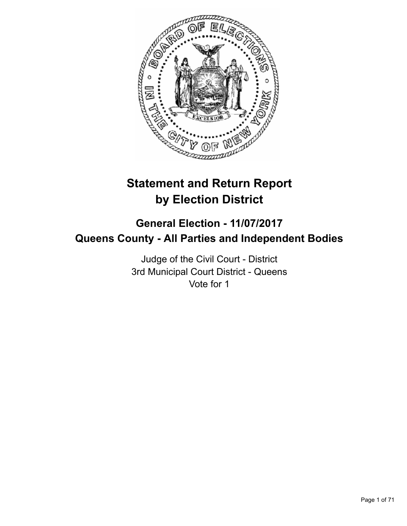

# **Statement and Return Report by Election District**

# **General Election - 11/07/2017 Queens County - All Parties and Independent Bodies**

Judge of the Civil Court - District 3rd Municipal Court District - Queens Vote for 1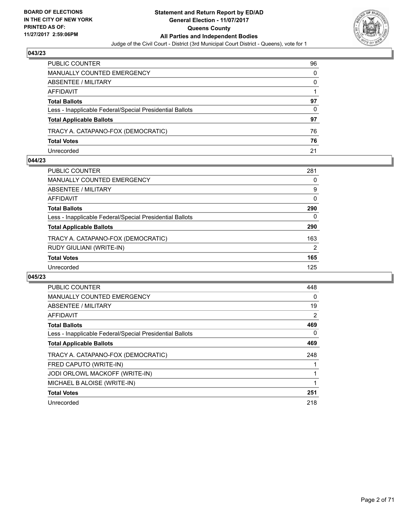

| PUBLIC COUNTER                                           | 96 |
|----------------------------------------------------------|----|
| MANUALLY COUNTED EMERGENCY                               | 0  |
| <b>ABSENTEE / MILITARY</b>                               | 0  |
| AFFIDAVIT                                                |    |
| <b>Total Ballots</b>                                     | 97 |
| Less - Inapplicable Federal/Special Presidential Ballots | 0  |
| <b>Total Applicable Ballots</b>                          | 97 |
| TRACY A. CATAPANO-FOX (DEMOCRATIC)                       | 76 |
| <b>Total Votes</b>                                       | 76 |
| Unrecorded                                               | 21 |

## **044/23**

| PUBLIC COUNTER                                           | 281      |
|----------------------------------------------------------|----------|
| <b>MANUALLY COUNTED EMERGENCY</b>                        | 0        |
| ABSENTEE / MILITARY                                      | 9        |
| AFFIDAVIT                                                | $\Omega$ |
| <b>Total Ballots</b>                                     | 290      |
| Less - Inapplicable Federal/Special Presidential Ballots | 0        |
| <b>Total Applicable Ballots</b>                          | 290      |
| TRACY A. CATAPANO-FOX (DEMOCRATIC)                       | 163      |
| RUDY GIULIANI (WRITE-IN)                                 | 2        |
| <b>Total Votes</b>                                       | 165      |
| Unrecorded                                               | 125      |
|                                                          |          |

| <b>PUBLIC COUNTER</b>                                    | 448 |
|----------------------------------------------------------|-----|
| <b>MANUALLY COUNTED EMERGENCY</b>                        | 0   |
| ABSENTEE / MILITARY                                      | 19  |
| <b>AFFIDAVIT</b>                                         | 2   |
| <b>Total Ballots</b>                                     | 469 |
| Less - Inapplicable Federal/Special Presidential Ballots | 0   |
| <b>Total Applicable Ballots</b>                          | 469 |
| TRACY A. CATAPANO-FOX (DEMOCRATIC)                       | 248 |
| FRED CAPUTO (WRITE-IN)                                   |     |
| JODI ORLOWL MACKOFF (WRITE-IN)                           |     |
| MICHAEL B ALOISE (WRITE-IN)                              |     |
| <b>Total Votes</b>                                       | 251 |
| Unrecorded                                               | 218 |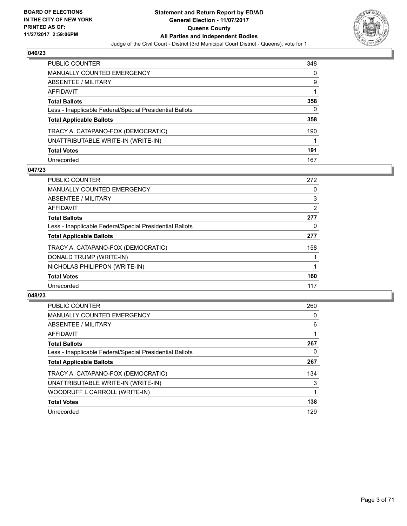

| <b>PUBLIC COUNTER</b>                                    | 348 |
|----------------------------------------------------------|-----|
| <b>MANUALLY COUNTED EMERGENCY</b>                        | 0   |
| <b>ABSENTEE / MILITARY</b>                               | 9   |
| AFFIDAVIT                                                |     |
| <b>Total Ballots</b>                                     | 358 |
| Less - Inapplicable Federal/Special Presidential Ballots | 0   |
| <b>Total Applicable Ballots</b>                          | 358 |
| TRACY A. CATAPANO-FOX (DEMOCRATIC)                       | 190 |
| UNATTRIBUTABLE WRITE-IN (WRITE-IN)                       |     |
| <b>Total Votes</b>                                       | 191 |
| Unrecorded                                               | 167 |

## **047/23**

| <b>PUBLIC COUNTER</b>                                    | 272 |
|----------------------------------------------------------|-----|
| <b>MANUALLY COUNTED EMERGENCY</b>                        | 0   |
| ABSENTEE / MILITARY                                      | 3   |
| <b>AFFIDAVIT</b>                                         | 2   |
| <b>Total Ballots</b>                                     | 277 |
| Less - Inapplicable Federal/Special Presidential Ballots | 0   |
| <b>Total Applicable Ballots</b>                          | 277 |
| TRACY A. CATAPANO-FOX (DEMOCRATIC)                       | 158 |
| DONALD TRUMP (WRITE-IN)                                  |     |
| NICHOLAS PHILIPPON (WRITE-IN)                            |     |
| <b>Total Votes</b>                                       | 160 |
| Unrecorded                                               | 117 |

| <b>PUBLIC COUNTER</b>                                    | 260 |
|----------------------------------------------------------|-----|
| <b>MANUALLY COUNTED EMERGENCY</b>                        | 0   |
| ABSENTEE / MILITARY                                      | 6   |
| <b>AFFIDAVIT</b>                                         |     |
| <b>Total Ballots</b>                                     | 267 |
| Less - Inapplicable Federal/Special Presidential Ballots | 0   |
| <b>Total Applicable Ballots</b>                          | 267 |
| TRACY A. CATAPANO-FOX (DEMOCRATIC)                       | 134 |
| UNATTRIBUTABLE WRITE-IN (WRITE-IN)                       | 3   |
| WOODRUFF L CARROLL (WRITE-IN)                            |     |
| <b>Total Votes</b>                                       | 138 |
| Unrecorded                                               | 129 |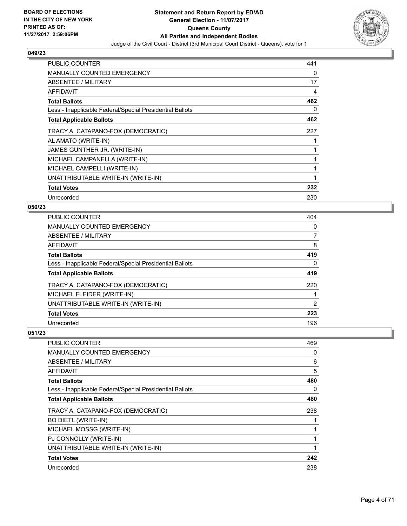

| <b>PUBLIC COUNTER</b>                                    | 441 |
|----------------------------------------------------------|-----|
| <b>MANUALLY COUNTED EMERGENCY</b>                        | 0   |
| ABSENTEE / MILITARY                                      | 17  |
| AFFIDAVIT                                                | 4   |
| <b>Total Ballots</b>                                     | 462 |
| Less - Inapplicable Federal/Special Presidential Ballots | 0   |
| <b>Total Applicable Ballots</b>                          | 462 |
| TRACY A. CATAPANO-FOX (DEMOCRATIC)                       | 227 |
| AL AMATO (WRITE-IN)                                      |     |
| JAMES GUNTHER JR. (WRITE-IN)                             | 1   |
| MICHAEL CAMPANELLA (WRITE-IN)                            | 1   |
| MICHAEL CAMPELLI (WRITE-IN)                              | 1   |
| UNATTRIBUTABLE WRITE-IN (WRITE-IN)                       | 1   |
| <b>Total Votes</b>                                       | 232 |
| Unrecorded                                               | 230 |

# **050/23**

| PUBLIC COUNTER                                           | 404 |
|----------------------------------------------------------|-----|
| <b>MANUALLY COUNTED EMERGENCY</b>                        | 0   |
| ABSENTEE / MILITARY                                      |     |
| <b>AFFIDAVIT</b>                                         | 8   |
| <b>Total Ballots</b>                                     | 419 |
| Less - Inapplicable Federal/Special Presidential Ballots | 0   |
| <b>Total Applicable Ballots</b>                          | 419 |
| TRACY A. CATAPANO-FOX (DEMOCRATIC)                       | 220 |
| MICHAEL FLEIDER (WRITE-IN)                               |     |
| UNATTRIBUTABLE WRITE-IN (WRITE-IN)                       | 2   |
| <b>Total Votes</b>                                       | 223 |
| Unrecorded                                               | 196 |

| <b>PUBLIC COUNTER</b>                                    | 469 |
|----------------------------------------------------------|-----|
| <b>MANUALLY COUNTED EMERGENCY</b>                        | 0   |
| ABSENTEE / MILITARY                                      | 6   |
| AFFIDAVIT                                                | 5   |
| <b>Total Ballots</b>                                     | 480 |
| Less - Inapplicable Federal/Special Presidential Ballots | 0   |
| <b>Total Applicable Ballots</b>                          | 480 |
| TRACY A. CATAPANO-FOX (DEMOCRATIC)                       | 238 |
| <b>BO DIETL (WRITE-IN)</b>                               |     |
| MICHAEL MOSSG (WRITE-IN)                                 |     |
| PJ CONNOLLY (WRITE-IN)                                   |     |
| UNATTRIBUTABLE WRITE-IN (WRITE-IN)                       |     |
| <b>Total Votes</b>                                       | 242 |
| Unrecorded                                               | 238 |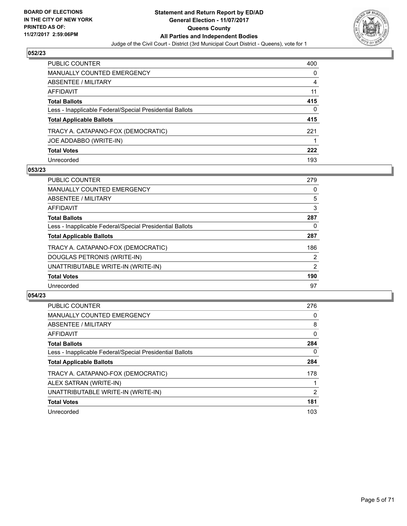

| PUBLIC COUNTER                                           | 400 |
|----------------------------------------------------------|-----|
| <b>MANUALLY COUNTED EMERGENCY</b>                        | 0   |
| <b>ABSENTEE / MILITARY</b>                               | 4   |
| AFFIDAVIT                                                | 11  |
| <b>Total Ballots</b>                                     | 415 |
| Less - Inapplicable Federal/Special Presidential Ballots | 0   |
| <b>Total Applicable Ballots</b>                          | 415 |
| TRACY A. CATAPANO-FOX (DEMOCRATIC)                       | 221 |
| JOE ADDABBO (WRITE-IN)                                   |     |
| <b>Total Votes</b>                                       | 222 |
| Unrecorded                                               | 193 |

## **053/23**

| <b>PUBLIC COUNTER</b>                                    | 279 |
|----------------------------------------------------------|-----|
| MANUALLY COUNTED EMERGENCY                               | 0   |
| ABSENTEE / MILITARY                                      | 5   |
| <b>AFFIDAVIT</b>                                         | 3   |
| <b>Total Ballots</b>                                     | 287 |
| Less - Inapplicable Federal/Special Presidential Ballots | 0   |
| <b>Total Applicable Ballots</b>                          | 287 |
| TRACY A. CATAPANO-FOX (DEMOCRATIC)                       | 186 |
| DOUGLAS PETRONIS (WRITE-IN)                              | 2   |
| UNATTRIBUTABLE WRITE-IN (WRITE-IN)                       | 2   |
| <b>Total Votes</b>                                       | 190 |
| Unrecorded                                               | 97  |

| <b>PUBLIC COUNTER</b>                                    | 276      |
|----------------------------------------------------------|----------|
| <b>MANUALLY COUNTED EMERGENCY</b>                        | 0        |
| ABSENTEE / MILITARY                                      | 8        |
| AFFIDAVIT                                                | 0        |
| <b>Total Ballots</b>                                     | 284      |
| Less - Inapplicable Federal/Special Presidential Ballots | $\Omega$ |
| <b>Total Applicable Ballots</b>                          | 284      |
| TRACY A. CATAPANO-FOX (DEMOCRATIC)                       | 178      |
| ALEX SATRAN (WRITE-IN)                                   |          |
| UNATTRIBUTABLE WRITE-IN (WRITE-IN)                       | 2        |
| <b>Total Votes</b>                                       | 181      |
| Unrecorded                                               | 103      |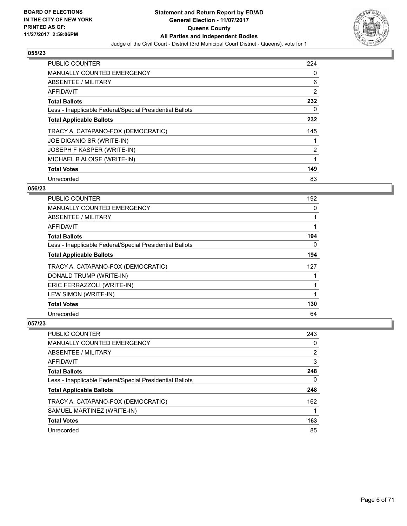

| <b>PUBLIC COUNTER</b>                                    | 224 |
|----------------------------------------------------------|-----|
| <b>MANUALLY COUNTED EMERGENCY</b>                        | 0   |
| ABSENTEE / MILITARY                                      | 6   |
| <b>AFFIDAVIT</b>                                         | 2   |
| <b>Total Ballots</b>                                     | 232 |
| Less - Inapplicable Federal/Special Presidential Ballots | 0   |
| <b>Total Applicable Ballots</b>                          | 232 |
| TRACY A. CATAPANO-FOX (DEMOCRATIC)                       | 145 |
| JOE DICANIO SR (WRITE-IN)                                |     |
| JOSEPH F KASPER (WRITE-IN)                               | 2   |
| MICHAEL B ALOISE (WRITE-IN)                              | 1   |
| <b>Total Votes</b>                                       | 149 |
| Unrecorded                                               | 83  |

## **056/23**

| <b>PUBLIC COUNTER</b>                                    | 192 |
|----------------------------------------------------------|-----|
| MANUALLY COUNTED EMERGENCY                               | 0   |
| ABSENTEE / MILITARY                                      |     |
| AFFIDAVIT                                                |     |
| <b>Total Ballots</b>                                     | 194 |
| Less - Inapplicable Federal/Special Presidential Ballots | 0   |
| <b>Total Applicable Ballots</b>                          | 194 |
| TRACY A. CATAPANO-FOX (DEMOCRATIC)                       | 127 |
| DONALD TRUMP (WRITE-IN)                                  |     |
| ERIC FERRAZZOLI (WRITE-IN)                               |     |
| LEW SIMON (WRITE-IN)                                     |     |
| <b>Total Votes</b>                                       | 130 |
| Unrecorded                                               | 64  |

| <b>PUBLIC COUNTER</b>                                    | 243            |
|----------------------------------------------------------|----------------|
| <b>MANUALLY COUNTED EMERGENCY</b>                        | 0              |
| ABSENTEE / MILITARY                                      | $\overline{2}$ |
| AFFIDAVIT                                                | 3              |
| <b>Total Ballots</b>                                     | 248            |
| Less - Inapplicable Federal/Special Presidential Ballots | 0              |
| <b>Total Applicable Ballots</b>                          | 248            |
| TRACY A. CATAPANO-FOX (DEMOCRATIC)                       | 162            |
| SAMUEL MARTINEZ (WRITE-IN)                               |                |
| <b>Total Votes</b>                                       | 163            |
| Unrecorded                                               | 85             |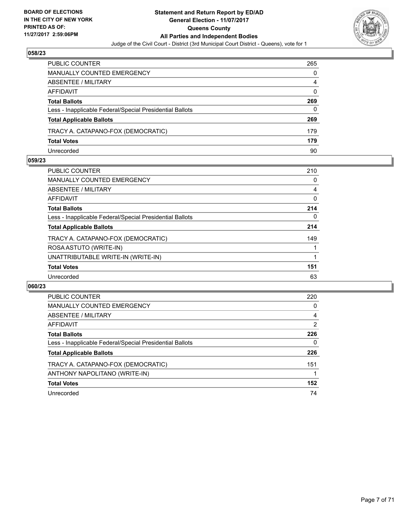

| PUBLIC COUNTER                                           | 265 |
|----------------------------------------------------------|-----|
| <b>MANUALLY COUNTED EMERGENCY</b>                        | 0   |
| ABSENTEE / MILITARY                                      | 4   |
| AFFIDAVIT                                                | 0   |
| <b>Total Ballots</b>                                     | 269 |
| Less - Inapplicable Federal/Special Presidential Ballots | 0   |
| <b>Total Applicable Ballots</b>                          | 269 |
| TRACY A. CATAPANO-FOX (DEMOCRATIC)                       | 179 |
| <b>Total Votes</b>                                       | 179 |
| Unrecorded                                               | 90  |

## **059/23**

| <b>PUBLIC COUNTER</b>                                    | 210 |
|----------------------------------------------------------|-----|
| MANUALLY COUNTED EMERGENCY                               | 0   |
| ABSENTEE / MILITARY                                      | 4   |
| AFFIDAVIT                                                | 0   |
| <b>Total Ballots</b>                                     | 214 |
| Less - Inapplicable Federal/Special Presidential Ballots | 0   |
| <b>Total Applicable Ballots</b>                          | 214 |
| TRACY A. CATAPANO-FOX (DEMOCRATIC)                       | 149 |
| ROSA ASTUTO (WRITE-IN)                                   |     |
| UNATTRIBUTABLE WRITE-IN (WRITE-IN)                       |     |
| <b>Total Votes</b>                                       | 151 |
| Unrecorded                                               | 63  |
|                                                          |     |

| <b>PUBLIC COUNTER</b>                                    | 220 |
|----------------------------------------------------------|-----|
| MANUALLY COUNTED EMERGENCY                               | 0   |
| ABSENTEE / MILITARY                                      | 4   |
| AFFIDAVIT                                                | 2   |
| <b>Total Ballots</b>                                     | 226 |
| Less - Inapplicable Federal/Special Presidential Ballots | 0   |
| <b>Total Applicable Ballots</b>                          | 226 |
| TRACY A. CATAPANO-FOX (DEMOCRATIC)                       | 151 |
| ANTHONY NAPOLITANO (WRITE-IN)                            |     |
| <b>Total Votes</b>                                       | 152 |
| Unrecorded                                               | 74  |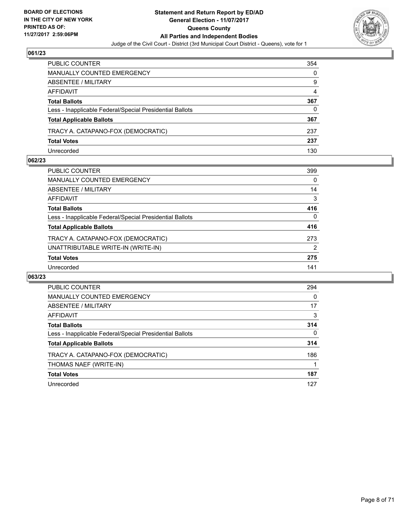

| PUBLIC COUNTER                                           | 354 |
|----------------------------------------------------------|-----|
| <b>MANUALLY COUNTED EMERGENCY</b>                        | 0   |
| <b>ABSENTEE / MILITARY</b>                               | 9   |
| AFFIDAVIT                                                | 4   |
| <b>Total Ballots</b>                                     | 367 |
| Less - Inapplicable Federal/Special Presidential Ballots | 0   |
| <b>Total Applicable Ballots</b>                          | 367 |
| TRACY A. CATAPANO-FOX (DEMOCRATIC)                       | 237 |
| <b>Total Votes</b>                                       | 237 |
| Unrecorded                                               | 130 |

## **062/23**

| PUBLIC COUNTER                                           | 399      |
|----------------------------------------------------------|----------|
| <b>MANUALLY COUNTED EMERGENCY</b>                        | 0        |
| ABSENTEE / MILITARY                                      | 14       |
| AFFIDAVIT                                                | 3        |
| <b>Total Ballots</b>                                     | 416      |
| Less - Inapplicable Federal/Special Presidential Ballots | $\Omega$ |
| <b>Total Applicable Ballots</b>                          | 416      |
| TRACY A. CATAPANO-FOX (DEMOCRATIC)                       | 273      |
| UNATTRIBUTABLE WRITE-IN (WRITE-IN)                       | 2        |
| <b>Total Votes</b>                                       | 275      |
| Unrecorded                                               | 141      |
|                                                          |          |

| <b>PUBLIC COUNTER</b>                                    | 294          |
|----------------------------------------------------------|--------------|
| <b>MANUALLY COUNTED EMERGENCY</b>                        | 0            |
| ABSENTEE / MILITARY                                      | 17           |
| <b>AFFIDAVIT</b>                                         | 3            |
| <b>Total Ballots</b>                                     | 314          |
| Less - Inapplicable Federal/Special Presidential Ballots | $\mathbf{0}$ |
| <b>Total Applicable Ballots</b>                          | 314          |
| TRACY A. CATAPANO-FOX (DEMOCRATIC)                       | 186          |
| THOMAS NAEF (WRITE-IN)                                   |              |
| <b>Total Votes</b>                                       | 187          |
| Unrecorded                                               | 127          |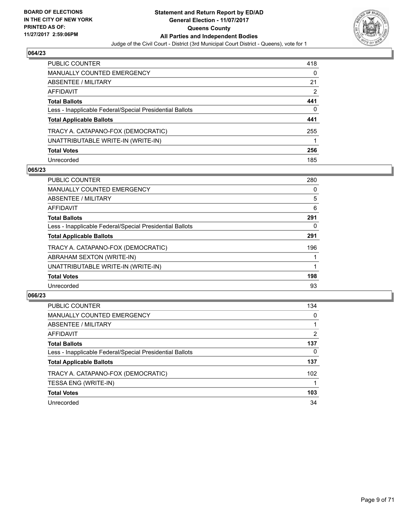

| PUBLIC COUNTER                                           | 418 |
|----------------------------------------------------------|-----|
| <b>MANUALLY COUNTED EMERGENCY</b>                        | 0   |
| <b>ABSENTEE / MILITARY</b>                               | 21  |
| <b>AFFIDAVIT</b>                                         | 2   |
| <b>Total Ballots</b>                                     | 441 |
| Less - Inapplicable Federal/Special Presidential Ballots | 0   |
| <b>Total Applicable Ballots</b>                          | 441 |
| TRACY A. CATAPANO-FOX (DEMOCRATIC)                       | 255 |
| UNATTRIBUTABLE WRITE-IN (WRITE-IN)                       |     |
| <b>Total Votes</b>                                       | 256 |
| Unrecorded                                               | 185 |

## **065/23**

| <b>PUBLIC COUNTER</b>                                    | 280 |
|----------------------------------------------------------|-----|
| <b>MANUALLY COUNTED EMERGENCY</b>                        | 0   |
| ABSENTEE / MILITARY                                      | 5   |
| <b>AFFIDAVIT</b>                                         | 6   |
| <b>Total Ballots</b>                                     | 291 |
| Less - Inapplicable Federal/Special Presidential Ballots | 0   |
| <b>Total Applicable Ballots</b>                          | 291 |
| TRACY A. CATAPANO-FOX (DEMOCRATIC)                       | 196 |
| ABRAHAM SEXTON (WRITE-IN)                                |     |
| UNATTRIBUTABLE WRITE-IN (WRITE-IN)                       |     |
| <b>Total Votes</b>                                       | 198 |
| Unrecorded                                               | 93  |

| <b>PUBLIC COUNTER</b>                                    | 134 |
|----------------------------------------------------------|-----|
| MANUALLY COUNTED EMERGENCY                               | 0   |
| ABSENTEE / MILITARY                                      |     |
| AFFIDAVIT                                                | 2   |
| <b>Total Ballots</b>                                     | 137 |
| Less - Inapplicable Federal/Special Presidential Ballots | 0   |
| <b>Total Applicable Ballots</b>                          | 137 |
| TRACY A. CATAPANO-FOX (DEMOCRATIC)                       | 102 |
| TESSA ENG (WRITE-IN)                                     |     |
| <b>Total Votes</b>                                       | 103 |
| Unrecorded                                               | 34  |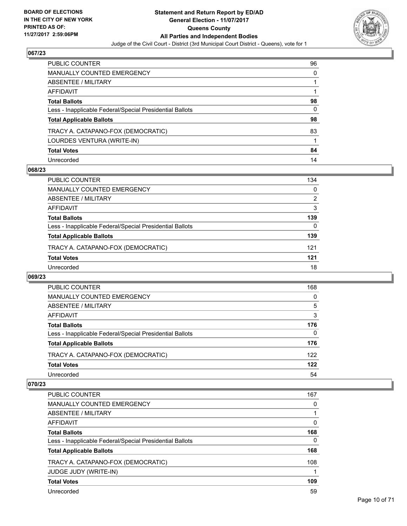

| PUBLIC COUNTER                                           | 96 |
|----------------------------------------------------------|----|
| <b>MANUALLY COUNTED EMERGENCY</b>                        | 0  |
| <b>ABSENTEE / MILITARY</b>                               |    |
| AFFIDAVIT                                                |    |
| <b>Total Ballots</b>                                     | 98 |
| Less - Inapplicable Federal/Special Presidential Ballots | 0  |
| <b>Total Applicable Ballots</b>                          | 98 |
| TRACY A. CATAPANO-FOX (DEMOCRATIC)                       | 83 |
| LOURDES VENTURA (WRITE-IN)                               |    |
| <b>Total Votes</b>                                       | 84 |
| Unrecorded                                               | 14 |

## **068/23**

| <b>PUBLIC COUNTER</b>                                    | 134 |
|----------------------------------------------------------|-----|
| <b>MANUALLY COUNTED EMERGENCY</b>                        | 0   |
| ABSENTEE / MILITARY                                      | 2   |
| AFFIDAVIT                                                | 3   |
| <b>Total Ballots</b>                                     | 139 |
| Less - Inapplicable Federal/Special Presidential Ballots | 0   |
| <b>Total Applicable Ballots</b>                          | 139 |
| TRACY A. CATAPANO-FOX (DEMOCRATIC)                       | 121 |
| <b>Total Votes</b>                                       | 121 |
| Unrecorded                                               | 18  |

## **069/23**

| <b>PUBLIC COUNTER</b>                                    | 168      |
|----------------------------------------------------------|----------|
| MANUALLY COUNTED EMERGENCY                               | $\Omega$ |
| ABSENTEE / MILITARY                                      | 5        |
| AFFIDAVIT                                                | 3        |
| <b>Total Ballots</b>                                     | 176      |
| Less - Inapplicable Federal/Special Presidential Ballots | $\Omega$ |
| <b>Total Applicable Ballots</b>                          | 176      |
| TRACY A. CATAPANO-FOX (DEMOCRATIC)                       | 122      |
| <b>Total Votes</b>                                       | 122      |
| Unrecorded                                               | 54       |

| <b>PUBLIC COUNTER</b>                                    | 167 |
|----------------------------------------------------------|-----|
| <b>MANUALLY COUNTED EMERGENCY</b>                        | 0   |
| ABSENTEE / MILITARY                                      |     |
| AFFIDAVIT                                                | 0   |
| <b>Total Ballots</b>                                     | 168 |
| Less - Inapplicable Federal/Special Presidential Ballots | 0   |
| <b>Total Applicable Ballots</b>                          | 168 |
| TRACY A. CATAPANO-FOX (DEMOCRATIC)                       | 108 |
| <b>JUDGE JUDY (WRITE-IN)</b>                             |     |
| <b>Total Votes</b>                                       | 109 |
| Unrecorded                                               | 59  |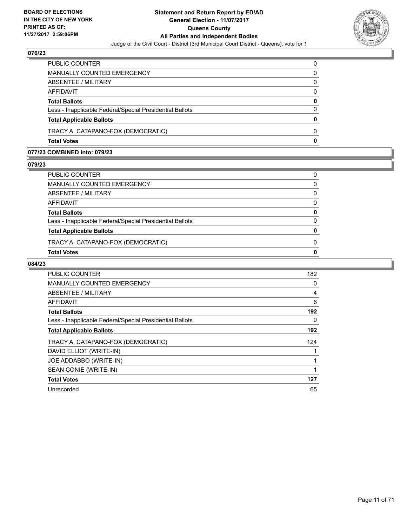

| <b>Total Votes</b>                                       | 0        |
|----------------------------------------------------------|----------|
|                                                          |          |
| TRACY A. CATAPANO-FOX (DEMOCRATIC)                       | 0        |
| <b>Total Applicable Ballots</b>                          | 0        |
| Less - Inapplicable Federal/Special Presidential Ballots | $\Omega$ |
| <b>Total Ballots</b>                                     | 0        |
| AFFIDAVIT                                                | 0        |
| ABSENTEE / MILITARY                                      | 0        |
| <b>MANUALLY COUNTED EMERGENCY</b>                        | 0        |
| PUBLIC COUNTER                                           | 0        |

# **077/23 COMBINED into: 079/23**

# **079/23**

| PUBLIC COUNTER                                           |              |
|----------------------------------------------------------|--------------|
| MANUALLY COUNTED EMERGENCY                               | <sup>0</sup> |
| ABSENTEE / MILITARY                                      | 0            |
| AFFIDAVIT                                                | <sup>0</sup> |
| <b>Total Ballots</b>                                     | n            |
| Less - Inapplicable Federal/Special Presidential Ballots |              |
| <b>Total Applicable Ballots</b>                          |              |
| TRACY A. CATAPANO-FOX (DEMOCRATIC)                       | n            |
| <b>Total Votes</b>                                       |              |
|                                                          |              |

| <b>PUBLIC COUNTER</b>                                    | 182 |
|----------------------------------------------------------|-----|
| <b>MANUALLY COUNTED EMERGENCY</b>                        | 0   |
| ABSENTEE / MILITARY                                      | 4   |
| AFFIDAVIT                                                | 6   |
| <b>Total Ballots</b>                                     | 192 |
| Less - Inapplicable Federal/Special Presidential Ballots | 0   |
| <b>Total Applicable Ballots</b>                          | 192 |
| TRACY A. CATAPANO-FOX (DEMOCRATIC)                       | 124 |
| DAVID ELLIOT (WRITE-IN)                                  |     |
| JOE ADDABBO (WRITE-IN)                                   |     |
| SEAN CONIE (WRITE-IN)                                    | 1   |
| <b>Total Votes</b>                                       | 127 |
| Unrecorded                                               | 65  |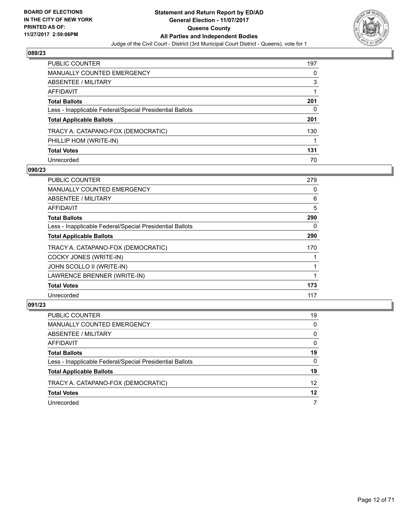

| PUBLIC COUNTER                                           | 197 |
|----------------------------------------------------------|-----|
| <b>MANUALLY COUNTED EMERGENCY</b>                        | 0   |
| <b>ABSENTEE / MILITARY</b>                               | 3   |
| AFFIDAVIT                                                |     |
| <b>Total Ballots</b>                                     | 201 |
| Less - Inapplicable Federal/Special Presidential Ballots | 0   |
| <b>Total Applicable Ballots</b>                          | 201 |
| TRACY A. CATAPANO-FOX (DEMOCRATIC)                       | 130 |
| PHILLIP HOM (WRITE-IN)                                   |     |
| <b>Total Votes</b>                                       | 131 |
| Unrecorded                                               | 70  |

## **090/23**

| <b>PUBLIC COUNTER</b>                                    | 279 |
|----------------------------------------------------------|-----|
| MANUALLY COUNTED EMERGENCY                               | 0   |
| ABSENTEE / MILITARY                                      | 6   |
| AFFIDAVIT                                                | 5   |
| <b>Total Ballots</b>                                     | 290 |
| Less - Inapplicable Federal/Special Presidential Ballots | 0   |
| <b>Total Applicable Ballots</b>                          | 290 |
| TRACY A. CATAPANO-FOX (DEMOCRATIC)                       | 170 |
| COCKY JONES (WRITE-IN)                                   |     |
| JOHN SCOLLO II (WRITE-IN)                                |     |
| LAWRENCE BRENNER (WRITE-IN)                              |     |
| <b>Total Votes</b>                                       | 173 |
| Unrecorded                                               | 117 |

| <b>PUBLIC COUNTER</b>                                    | 19       |
|----------------------------------------------------------|----------|
| MANUALLY COUNTED EMERGENCY                               | $\Omega$ |
| ABSENTEE / MILITARY                                      | 0        |
| AFFIDAVIT                                                | 0        |
| <b>Total Ballots</b>                                     | 19       |
| Less - Inapplicable Federal/Special Presidential Ballots | 0        |
| <b>Total Applicable Ballots</b>                          | 19       |
| TRACY A. CATAPANO-FOX (DEMOCRATIC)                       | 12       |
| <b>Total Votes</b>                                       | 12       |
| Unrecorded                                               |          |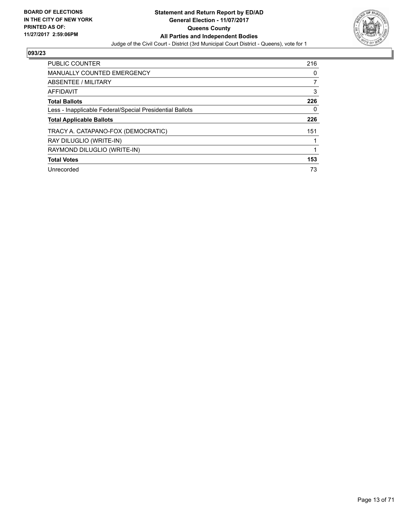

| <b>PUBLIC COUNTER</b>                                    | 216 |
|----------------------------------------------------------|-----|
| <b>MANUALLY COUNTED EMERGENCY</b>                        | 0   |
| ABSENTEE / MILITARY                                      |     |
| <b>AFFIDAVIT</b>                                         | 3   |
| <b>Total Ballots</b>                                     | 226 |
| Less - Inapplicable Federal/Special Presidential Ballots | 0   |
| <b>Total Applicable Ballots</b>                          | 226 |
| TRACY A. CATAPANO-FOX (DEMOCRATIC)                       | 151 |
| RAY DILUGLIO (WRITE-IN)                                  |     |
| RAYMOND DILUGLIO (WRITE-IN)                              |     |
| <b>Total Votes</b>                                       | 153 |
| Unrecorded                                               | 73  |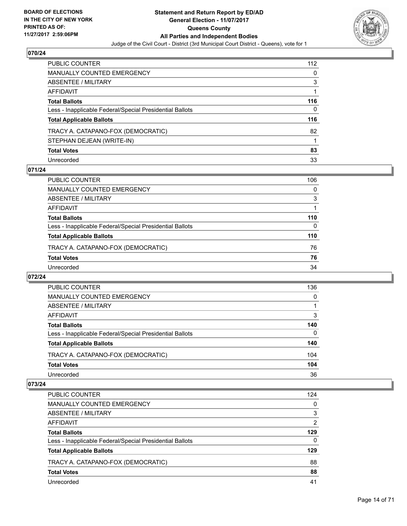

| PUBLIC COUNTER                                           | 112 |
|----------------------------------------------------------|-----|
| <b>MANUALLY COUNTED EMERGENCY</b>                        | 0   |
| <b>ABSENTEE / MILITARY</b>                               | 3   |
| AFFIDAVIT                                                |     |
| <b>Total Ballots</b>                                     | 116 |
| Less - Inapplicable Federal/Special Presidential Ballots | 0   |
| <b>Total Applicable Ballots</b>                          | 116 |
| TRACY A. CATAPANO-FOX (DEMOCRATIC)                       | 82  |
| STEPHAN DEJEAN (WRITE-IN)                                |     |
| <b>Total Votes</b>                                       | 83  |
| Unrecorded                                               | 33  |

## **071/24**

| <b>PUBLIC COUNTER</b>                                    | 106      |
|----------------------------------------------------------|----------|
| MANUALLY COUNTED EMERGENCY                               | $\Omega$ |
| ABSENTEE / MILITARY                                      | 3        |
| AFFIDAVIT                                                |          |
| <b>Total Ballots</b>                                     | 110      |
| Less - Inapplicable Federal/Special Presidential Ballots | 0        |
| <b>Total Applicable Ballots</b>                          | 110      |
| TRACY A. CATAPANO-FOX (DEMOCRATIC)                       | 76       |
| <b>Total Votes</b>                                       | 76       |
| Unrecorded                                               | 34       |

## **072/24**

| PUBLIC COUNTER                                           | 136 |
|----------------------------------------------------------|-----|
| <b>MANUALLY COUNTED EMERGENCY</b>                        | 0   |
| ABSENTEE / MILITARY                                      |     |
| AFFIDAVIT                                                | 3   |
| <b>Total Ballots</b>                                     | 140 |
| Less - Inapplicable Federal/Special Presidential Ballots | 0   |
| <b>Total Applicable Ballots</b>                          | 140 |
| TRACY A. CATAPANO-FOX (DEMOCRATIC)                       | 104 |
| <b>Total Votes</b>                                       | 104 |
| Unrecorded                                               | 36  |

| <b>PUBLIC COUNTER</b>                                    | 124 |
|----------------------------------------------------------|-----|
| <b>MANUALLY COUNTED EMERGENCY</b>                        | 0   |
| ABSENTEE / MILITARY                                      | 3   |
| AFFIDAVIT                                                | 2   |
| <b>Total Ballots</b>                                     | 129 |
| Less - Inapplicable Federal/Special Presidential Ballots | 0   |
| <b>Total Applicable Ballots</b>                          | 129 |
| TRACY A. CATAPANO-FOX (DEMOCRATIC)                       | 88  |
| <b>Total Votes</b>                                       | 88  |
| Unrecorded                                               | 41  |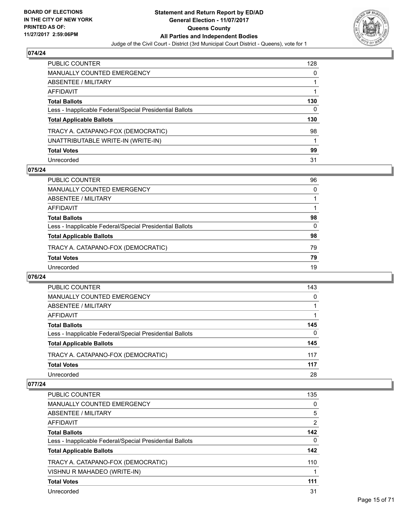

| PUBLIC COUNTER                                           | 128 |
|----------------------------------------------------------|-----|
| <b>MANUALLY COUNTED EMERGENCY</b>                        | 0   |
| <b>ABSENTEE / MILITARY</b>                               |     |
| AFFIDAVIT                                                |     |
| <b>Total Ballots</b>                                     | 130 |
| Less - Inapplicable Federal/Special Presidential Ballots | 0   |
| <b>Total Applicable Ballots</b>                          | 130 |
| TRACY A. CATAPANO-FOX (DEMOCRATIC)                       | 98  |
| UNATTRIBUTABLE WRITE-IN (WRITE-IN)                       |     |
| <b>Total Votes</b>                                       | 99  |
| Unrecorded                                               | 31  |

## **075/24**

| <b>PUBLIC COUNTER</b>                                    | 96       |
|----------------------------------------------------------|----------|
| <b>MANUALLY COUNTED EMERGENCY</b>                        | $\Omega$ |
| ABSENTEE / MILITARY                                      |          |
| AFFIDAVIT                                                |          |
| <b>Total Ballots</b>                                     | 98       |
| Less - Inapplicable Federal/Special Presidential Ballots | 0        |
| <b>Total Applicable Ballots</b>                          | 98       |
| TRACY A. CATAPANO-FOX (DEMOCRATIC)                       | 79       |
| <b>Total Votes</b>                                       | 79       |
| Unrecorded                                               | 19       |

## **076/24**

| <b>PUBLIC COUNTER</b>                                    | 143 |
|----------------------------------------------------------|-----|
| <b>MANUALLY COUNTED EMERGENCY</b>                        | 0   |
| ABSENTEE / MILITARY                                      |     |
| AFFIDAVIT                                                |     |
| <b>Total Ballots</b>                                     | 145 |
| Less - Inapplicable Federal/Special Presidential Ballots | 0   |
| <b>Total Applicable Ballots</b>                          | 145 |
| TRACY A. CATAPANO-FOX (DEMOCRATIC)                       | 117 |
| <b>Total Votes</b>                                       | 117 |
| Unrecorded                                               | 28  |

| <b>PUBLIC COUNTER</b>                                    | 135 |
|----------------------------------------------------------|-----|
| <b>MANUALLY COUNTED EMERGENCY</b>                        | 0   |
| ABSENTEE / MILITARY                                      | 5   |
| <b>AFFIDAVIT</b>                                         | 2   |
| <b>Total Ballots</b>                                     | 142 |
| Less - Inapplicable Federal/Special Presidential Ballots | 0   |
| <b>Total Applicable Ballots</b>                          | 142 |
| TRACY A. CATAPANO-FOX (DEMOCRATIC)                       | 110 |
| VISHNU R MAHADEO (WRITE-IN)                              |     |
| <b>Total Votes</b>                                       | 111 |
| Unrecorded                                               | 31  |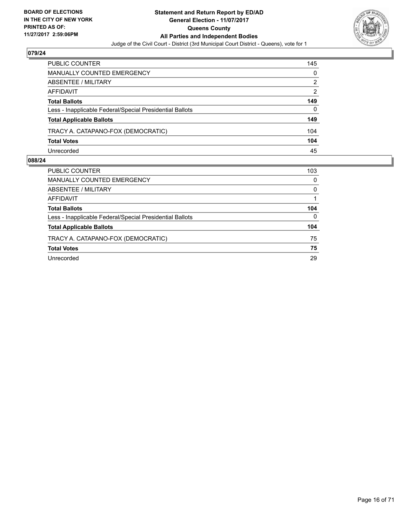

| PUBLIC COUNTER                                           | 145 |
|----------------------------------------------------------|-----|
| <b>MANUALLY COUNTED EMERGENCY</b>                        | 0   |
| <b>ABSENTEE / MILITARY</b>                               | 2   |
| AFFIDAVIT                                                | 2   |
| <b>Total Ballots</b>                                     | 149 |
| Less - Inapplicable Federal/Special Presidential Ballots | 0   |
| <b>Total Applicable Ballots</b>                          | 149 |
| TRACY A. CATAPANO-FOX (DEMOCRATIC)                       | 104 |
| <b>Total Votes</b>                                       | 104 |
| Unrecorded                                               | 45  |

| PUBLIC COUNTER                                           | 103 |
|----------------------------------------------------------|-----|
| <b>MANUALLY COUNTED EMERGENCY</b>                        | 0   |
| ABSENTEE / MILITARY                                      | 0   |
| AFFIDAVIT                                                |     |
| <b>Total Ballots</b>                                     | 104 |
| Less - Inapplicable Federal/Special Presidential Ballots | 0   |
| <b>Total Applicable Ballots</b>                          | 104 |
| TRACY A. CATAPANO-FOX (DEMOCRATIC)                       | 75  |
| <b>Total Votes</b>                                       | 75  |
| Unrecorded                                               | 29  |
|                                                          |     |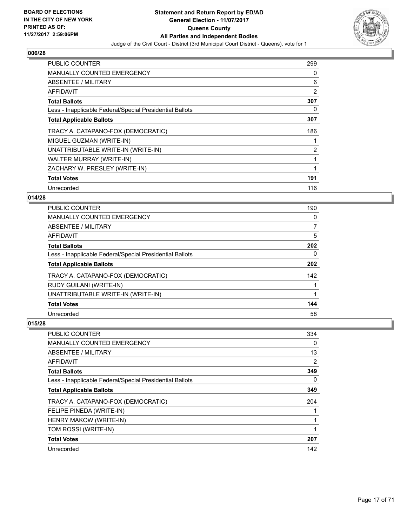

| <b>PUBLIC COUNTER</b>                                    | 299 |
|----------------------------------------------------------|-----|
| <b>MANUALLY COUNTED EMERGENCY</b>                        | 0   |
| <b>ABSENTEE / MILITARY</b>                               | 6   |
| AFFIDAVIT                                                | 2   |
| <b>Total Ballots</b>                                     | 307 |
| Less - Inapplicable Federal/Special Presidential Ballots | 0   |
| <b>Total Applicable Ballots</b>                          | 307 |
| TRACY A. CATAPANO-FOX (DEMOCRATIC)                       | 186 |
| MIGUEL GUZMAN (WRITE-IN)                                 | 1   |
| UNATTRIBUTABLE WRITE-IN (WRITE-IN)                       | 2   |
| WALTER MURRAY (WRITE-IN)                                 | 1   |
| ZACHARY W. PRESLEY (WRITE-IN)                            | 1   |
| <b>Total Votes</b>                                       | 191 |
| Unrecorded                                               | 116 |

# **014/28**

| <b>PUBLIC COUNTER</b>                                    | 190 |
|----------------------------------------------------------|-----|
| MANUALLY COUNTED EMERGENCY                               | 0   |
| ABSENTEE / MILITARY                                      | 7   |
| AFFIDAVIT                                                | 5   |
| <b>Total Ballots</b>                                     | 202 |
| Less - Inapplicable Federal/Special Presidential Ballots | 0   |
| <b>Total Applicable Ballots</b>                          | 202 |
| TRACY A. CATAPANO-FOX (DEMOCRATIC)                       | 142 |
| <b>RUDY GUILANI (WRITE-IN)</b>                           |     |
| UNATTRIBUTABLE WRITE-IN (WRITE-IN)                       |     |
| <b>Total Votes</b>                                       | 144 |
| Unrecorded                                               | 58  |

| PUBLIC COUNTER                                           | 334 |
|----------------------------------------------------------|-----|
| <b>MANUALLY COUNTED EMERGENCY</b>                        | 0   |
| ABSENTEE / MILITARY                                      | 13  |
| AFFIDAVIT                                                | 2   |
| <b>Total Ballots</b>                                     | 349 |
| Less - Inapplicable Federal/Special Presidential Ballots | 0   |
| <b>Total Applicable Ballots</b>                          | 349 |
| TRACY A. CATAPANO-FOX (DEMOCRATIC)                       | 204 |
| FELIPE PINEDA (WRITE-IN)                                 |     |
| HENRY MAKOW (WRITE-IN)                                   |     |
| TOM ROSSI (WRITE-IN)                                     | 1   |
| <b>Total Votes</b>                                       | 207 |
| Unrecorded                                               | 142 |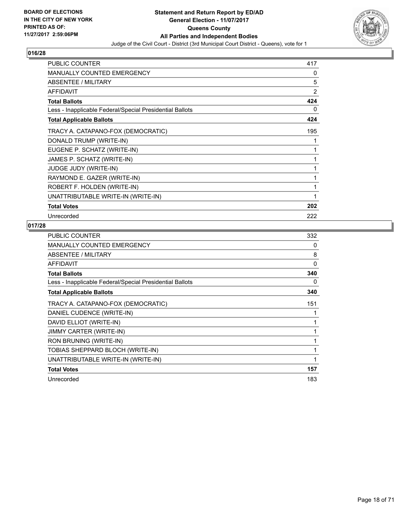

| <b>PUBLIC COUNTER</b>                                    | 417            |
|----------------------------------------------------------|----------------|
| <b>MANUALLY COUNTED EMERGENCY</b>                        | 0              |
| <b>ABSENTEE / MILITARY</b>                               | 5              |
| <b>AFFIDAVIT</b>                                         | $\overline{2}$ |
| <b>Total Ballots</b>                                     | 424            |
| Less - Inapplicable Federal/Special Presidential Ballots | 0              |
| <b>Total Applicable Ballots</b>                          | 424            |
| TRACY A. CATAPANO-FOX (DEMOCRATIC)                       | 195            |
| DONALD TRUMP (WRITE-IN)                                  | 1              |
| EUGENE P. SCHATZ (WRITE-IN)                              | 1              |
| JAMES P. SCHATZ (WRITE-IN)                               | 1              |
| <b>JUDGE JUDY (WRITE-IN)</b>                             | 1              |
| RAYMOND E. GAZER (WRITE-IN)                              | 1              |
| ROBERT F. HOLDEN (WRITE-IN)                              | 1              |
| UNATTRIBUTABLE WRITE-IN (WRITE-IN)                       | 1              |
| <b>Total Votes</b>                                       | 202            |
| Unrecorded                                               | 222            |

| <b>PUBLIC COUNTER</b>                                    | 332 |
|----------------------------------------------------------|-----|
| <b>MANUALLY COUNTED EMERGENCY</b>                        | 0   |
| ABSENTEE / MILITARY                                      | 8   |
| AFFIDAVIT                                                | 0   |
| <b>Total Ballots</b>                                     | 340 |
| Less - Inapplicable Federal/Special Presidential Ballots | 0   |
| <b>Total Applicable Ballots</b>                          | 340 |
| TRACY A. CATAPANO-FOX (DEMOCRATIC)                       | 151 |
| DANIEL CUDENCE (WRITE-IN)                                |     |
| DAVID ELLIOT (WRITE-IN)                                  | 1   |
| <b>JIMMY CARTER (WRITE-IN)</b>                           | 1   |
| RON BRUNING (WRITE-IN)                                   |     |
| TOBIAS SHEPPARD BLOCH (WRITE-IN)                         | 1   |
| UNATTRIBUTABLE WRITE-IN (WRITE-IN)                       | 1   |
| <b>Total Votes</b>                                       | 157 |
| Unrecorded                                               | 183 |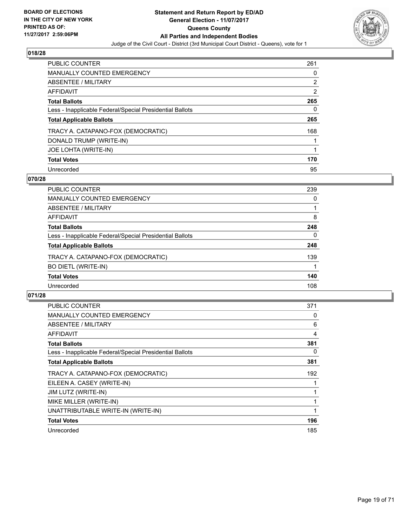

| PUBLIC COUNTER                                           | 261 |
|----------------------------------------------------------|-----|
| <b>MANUALLY COUNTED EMERGENCY</b>                        | 0   |
| ABSENTEE / MILITARY                                      | 2   |
| AFFIDAVIT                                                | 2   |
| <b>Total Ballots</b>                                     | 265 |
| Less - Inapplicable Federal/Special Presidential Ballots | 0   |
| <b>Total Applicable Ballots</b>                          | 265 |
| TRACY A. CATAPANO-FOX (DEMOCRATIC)                       | 168 |
| DONALD TRUMP (WRITE-IN)                                  |     |
| JOE LOHTA (WRITE-IN)                                     |     |
| <b>Total Votes</b>                                       | 170 |
| Unrecorded                                               | 95  |

## **070/28**

| <b>PUBLIC COUNTER</b>                                    | 239 |
|----------------------------------------------------------|-----|
| <b>MANUALLY COUNTED EMERGENCY</b>                        | 0   |
| ABSENTEE / MILITARY                                      |     |
| AFFIDAVIT                                                | 8   |
| <b>Total Ballots</b>                                     | 248 |
| Less - Inapplicable Federal/Special Presidential Ballots | 0   |
| <b>Total Applicable Ballots</b>                          | 248 |
| TRACY A. CATAPANO-FOX (DEMOCRATIC)                       | 139 |
| <b>BO DIETL (WRITE-IN)</b>                               |     |
| <b>Total Votes</b>                                       | 140 |
| Unrecorded                                               | 108 |
|                                                          |     |

| <b>PUBLIC COUNTER</b>                                    | 371 |
|----------------------------------------------------------|-----|
| <b>MANUALLY COUNTED EMERGENCY</b>                        | 0   |
| ABSENTEE / MILITARY                                      | 6   |
| AFFIDAVIT                                                | 4   |
| <b>Total Ballots</b>                                     | 381 |
| Less - Inapplicable Federal/Special Presidential Ballots | 0   |
| <b>Total Applicable Ballots</b>                          | 381 |
| TRACY A. CATAPANO-FOX (DEMOCRATIC)                       | 192 |
| EILEEN A. CASEY (WRITE-IN)                               |     |
| JIM LUTZ (WRITE-IN)                                      |     |
| MIKE MILLER (WRITE-IN)                                   |     |
| UNATTRIBUTABLE WRITE-IN (WRITE-IN)                       |     |
| <b>Total Votes</b>                                       | 196 |
| Unrecorded                                               | 185 |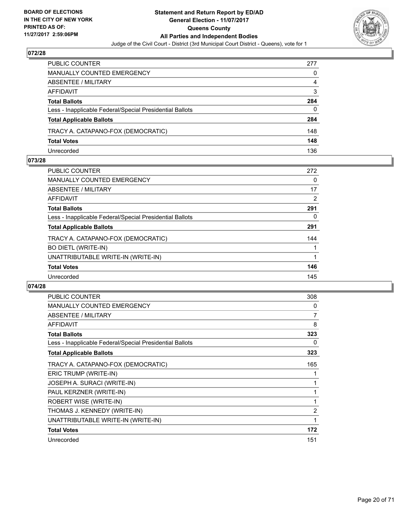

| PUBLIC COUNTER                                           | 277 |
|----------------------------------------------------------|-----|
| <b>MANUALLY COUNTED EMERGENCY</b>                        | 0   |
| <b>ABSENTEE / MILITARY</b>                               | 4   |
| AFFIDAVIT                                                | 3   |
| <b>Total Ballots</b>                                     | 284 |
| Less - Inapplicable Federal/Special Presidential Ballots | 0   |
| <b>Total Applicable Ballots</b>                          | 284 |
| TRACY A. CATAPANO-FOX (DEMOCRATIC)                       | 148 |
| <b>Total Votes</b>                                       | 148 |
| Unrecorded                                               | 136 |

## **073/28**

| <b>PUBLIC COUNTER</b>                                    | 272 |
|----------------------------------------------------------|-----|
| <b>MANUALLY COUNTED EMERGENCY</b>                        | 0   |
| ABSENTEE / MILITARY                                      | 17  |
| AFFIDAVIT                                                | 2   |
| <b>Total Ballots</b>                                     | 291 |
| Less - Inapplicable Federal/Special Presidential Ballots | 0   |
| <b>Total Applicable Ballots</b>                          | 291 |
| TRACY A. CATAPANO-FOX (DEMOCRATIC)                       | 144 |
| <b>BO DIETL (WRITE-IN)</b>                               |     |
| UNATTRIBUTABLE WRITE-IN (WRITE-IN)                       |     |
| <b>Total Votes</b>                                       | 146 |
| Unrecorded                                               | 145 |
|                                                          |     |

| <b>PUBLIC COUNTER</b>                                    | 308 |
|----------------------------------------------------------|-----|
| <b>MANUALLY COUNTED EMERGENCY</b>                        | 0   |
| <b>ABSENTEE / MILITARY</b>                               | 7   |
| <b>AFFIDAVIT</b>                                         | 8   |
| <b>Total Ballots</b>                                     | 323 |
| Less - Inapplicable Federal/Special Presidential Ballots | 0   |
| <b>Total Applicable Ballots</b>                          | 323 |
| TRACY A. CATAPANO-FOX (DEMOCRATIC)                       | 165 |
| ERIC TRUMP (WRITE-IN)                                    |     |
| JOSEPH A. SURACI (WRITE-IN)                              | 1   |
| PAUL KERZNER (WRITE-IN)                                  | 1   |
| ROBERT WISE (WRITE-IN)                                   | 1   |
| THOMAS J. KENNEDY (WRITE-IN)                             | 2   |
| UNATTRIBUTABLE WRITE-IN (WRITE-IN)                       | 1   |
| <b>Total Votes</b>                                       | 172 |
| Unrecorded                                               | 151 |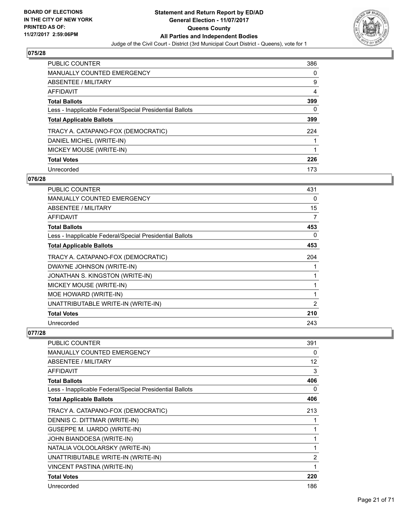

| PUBLIC COUNTER                                           | 386 |
|----------------------------------------------------------|-----|
| <b>MANUALLY COUNTED EMERGENCY</b>                        | 0   |
| ABSENTEE / MILITARY                                      | 9   |
| AFFIDAVIT                                                | 4   |
| <b>Total Ballots</b>                                     | 399 |
| Less - Inapplicable Federal/Special Presidential Ballots | 0   |
| <b>Total Applicable Ballots</b>                          | 399 |
| TRACY A. CATAPANO-FOX (DEMOCRATIC)                       | 224 |
| DANIEL MICHEL (WRITE-IN)                                 |     |
| MICKEY MOUSE (WRITE-IN)                                  |     |
| <b>Total Votes</b>                                       | 226 |
| Unrecorded                                               | 173 |

## **076/28**

| <b>PUBLIC COUNTER</b>                                    | 431            |
|----------------------------------------------------------|----------------|
| <b>MANUALLY COUNTED EMERGENCY</b>                        | 0              |
| ABSENTEE / MILITARY                                      | 15             |
| AFFIDAVIT                                                | 7              |
| <b>Total Ballots</b>                                     | 453            |
| Less - Inapplicable Federal/Special Presidential Ballots | 0              |
| <b>Total Applicable Ballots</b>                          | 453            |
| TRACY A. CATAPANO-FOX (DEMOCRATIC)                       | 204            |
| DWAYNE JOHNSON (WRITE-IN)                                |                |
| JONATHAN S. KINGSTON (WRITE-IN)                          |                |
| MICKEY MOUSE (WRITE-IN)                                  |                |
| MOE HOWARD (WRITE-IN)                                    | 1              |
| UNATTRIBUTABLE WRITE-IN (WRITE-IN)                       | $\overline{2}$ |
| <b>Total Votes</b>                                       | 210            |
| Unrecorded                                               | 243            |

| <b>PUBLIC COUNTER</b>                                    | 391            |
|----------------------------------------------------------|----------------|
| <b>MANUALLY COUNTED EMERGENCY</b>                        | 0              |
| ABSENTEE / MILITARY                                      | 12             |
| <b>AFFIDAVIT</b>                                         | 3              |
| <b>Total Ballots</b>                                     | 406            |
| Less - Inapplicable Federal/Special Presidential Ballots | 0              |
| <b>Total Applicable Ballots</b>                          | 406            |
| TRACY A. CATAPANO-FOX (DEMOCRATIC)                       | 213            |
| DENNIS C. DITTMAR (WRITE-IN)                             |                |
| GUSEPPE M. IJARDO (WRITE-IN)                             |                |
| JOHN BIANDOESA (WRITE-IN)                                | 1              |
| NATALIA VOLOOLARSKY (WRITE-IN)                           | 1              |
| UNATTRIBUTABLE WRITE-IN (WRITE-IN)                       | $\overline{2}$ |
| VINCENT PASTINA (WRITE-IN)                               | 1              |
| <b>Total Votes</b>                                       | 220            |
| Unrecorded                                               | 186            |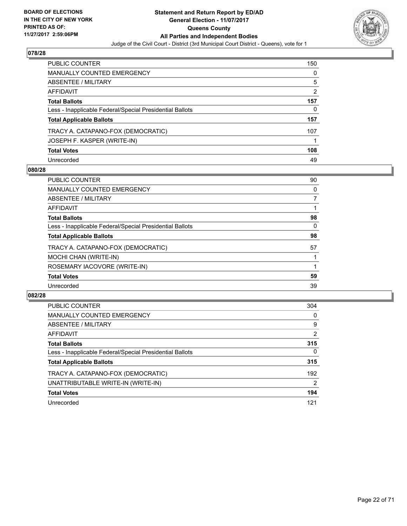

| <b>PUBLIC COUNTER</b>                                    | 150            |
|----------------------------------------------------------|----------------|
| <b>MANUALLY COUNTED EMERGENCY</b>                        | 0              |
| <b>ABSENTEE / MILITARY</b>                               | 5              |
| AFFIDAVIT                                                | $\overline{2}$ |
| <b>Total Ballots</b>                                     | 157            |
| Less - Inapplicable Federal/Special Presidential Ballots | 0              |
| <b>Total Applicable Ballots</b>                          | 157            |
| TRACY A. CATAPANO-FOX (DEMOCRATIC)                       | 107            |
| JOSEPH F. KASPER (WRITE-IN)                              |                |
| <b>Total Votes</b>                                       | 108            |
| Unrecorded                                               | 49             |

## **080/28**

| <b>PUBLIC COUNTER</b>                                    | 90 |
|----------------------------------------------------------|----|
| <b>MANUALLY COUNTED EMERGENCY</b>                        | 0  |
| ABSENTEE / MILITARY                                      | 7  |
| AFFIDAVIT                                                |    |
| <b>Total Ballots</b>                                     | 98 |
| Less - Inapplicable Federal/Special Presidential Ballots | 0  |
| <b>Total Applicable Ballots</b>                          | 98 |
| TRACY A. CATAPANO-FOX (DEMOCRATIC)                       | 57 |
| MOCHI CHAN (WRITE-IN)                                    |    |
| ROSEMARY IACOVORE (WRITE-IN)                             |    |
| <b>Total Votes</b>                                       | 59 |
| Unrecorded                                               | 39 |

| <b>PUBLIC COUNTER</b>                                    | 304      |
|----------------------------------------------------------|----------|
| MANUALLY COUNTED EMERGENCY                               | 0        |
| ABSENTEE / MILITARY                                      | 9        |
| AFFIDAVIT                                                | 2        |
| <b>Total Ballots</b>                                     | 315      |
| Less - Inapplicable Federal/Special Presidential Ballots | $\Omega$ |
| <b>Total Applicable Ballots</b>                          | 315      |
| TRACY A. CATAPANO-FOX (DEMOCRATIC)                       | 192      |
| UNATTRIBUTABLE WRITE-IN (WRITE-IN)                       | 2        |
| <b>Total Votes</b>                                       | 194      |
| Unrecorded                                               | 121      |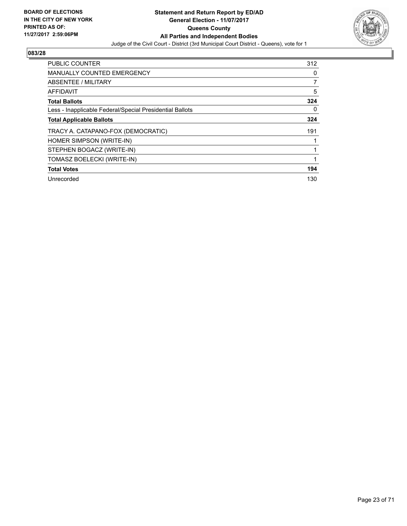

| <b>PUBLIC COUNTER</b>                                    | 312 |
|----------------------------------------------------------|-----|
| <b>MANUALLY COUNTED EMERGENCY</b>                        | 0   |
| ABSENTEE / MILITARY                                      | 7   |
| AFFIDAVIT                                                | 5   |
| <b>Total Ballots</b>                                     | 324 |
| Less - Inapplicable Federal/Special Presidential Ballots | 0   |
| <b>Total Applicable Ballots</b>                          | 324 |
| TRACY A. CATAPANO-FOX (DEMOCRATIC)                       | 191 |
| HOMER SIMPSON (WRITE-IN)                                 |     |
| STEPHEN BOGACZ (WRITE-IN)                                |     |
| TOMASZ BOELECKI (WRITE-IN)                               |     |
| <b>Total Votes</b>                                       | 194 |
| Unrecorded                                               | 130 |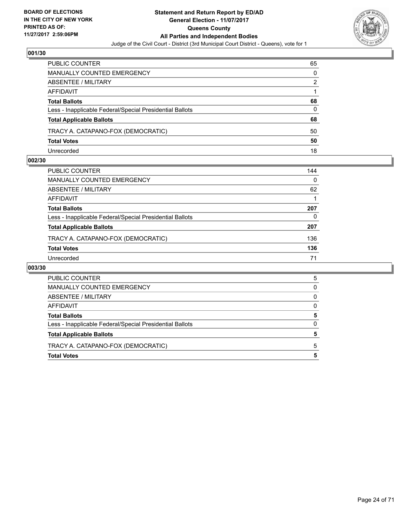

| PUBLIC COUNTER                                           | 65 |
|----------------------------------------------------------|----|
| <b>MANUALLY COUNTED EMERGENCY</b>                        | 0  |
| <b>ABSENTEE / MILITARY</b>                               | 2  |
| AFFIDAVIT                                                |    |
| <b>Total Ballots</b>                                     | 68 |
| Less - Inapplicable Federal/Special Presidential Ballots | 0  |
| <b>Total Applicable Ballots</b>                          | 68 |
| TRACY A. CATAPANO-FOX (DEMOCRATIC)                       | 50 |
| <b>Total Votes</b>                                       | 50 |
| Unrecorded                                               | 18 |

## **002/30**

| PUBLIC COUNTER                                           | 144 |
|----------------------------------------------------------|-----|
| <b>MANUALLY COUNTED EMERGENCY</b>                        | 0   |
| <b>ABSENTEE / MILITARY</b>                               | 62  |
| <b>AFFIDAVIT</b>                                         |     |
| <b>Total Ballots</b>                                     | 207 |
| Less - Inapplicable Federal/Special Presidential Ballots | 0   |
| <b>Total Applicable Ballots</b>                          | 207 |
| TRACY A. CATAPANO-FOX (DEMOCRATIC)                       | 136 |
| <b>Total Votes</b>                                       | 136 |
| Unrecorded                                               | 71  |

| <b>Total Votes</b>                                       | 5        |
|----------------------------------------------------------|----------|
| TRACY A. CATAPANO-FOX (DEMOCRATIC)                       | 5        |
| <b>Total Applicable Ballots</b>                          | 5        |
| Less - Inapplicable Federal/Special Presidential Ballots | $\Omega$ |
| <b>Total Ballots</b>                                     | 5        |
| AFFIDAVIT                                                | 0        |
| ABSENTEE / MILITARY                                      | 0        |
| MANUALLY COUNTED EMERGENCY                               | 0        |
| <b>PUBLIC COUNTER</b>                                    | 5        |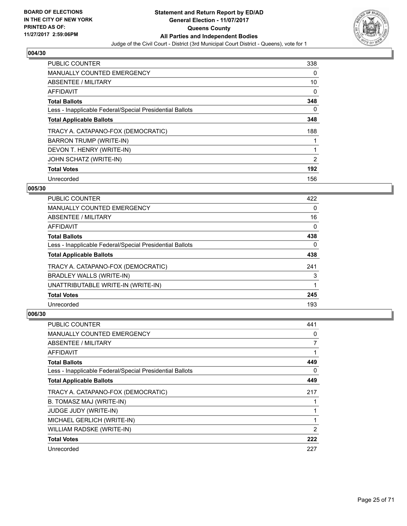

| <b>PUBLIC COUNTER</b>                                    | 338 |
|----------------------------------------------------------|-----|
| <b>MANUALLY COUNTED EMERGENCY</b>                        | 0   |
| ABSENTEE / MILITARY                                      | 10  |
| <b>AFFIDAVIT</b>                                         | 0   |
| <b>Total Ballots</b>                                     | 348 |
| Less - Inapplicable Federal/Special Presidential Ballots | 0   |
| <b>Total Applicable Ballots</b>                          | 348 |
| TRACY A. CATAPANO-FOX (DEMOCRATIC)                       | 188 |
| BARRON TRUMP (WRITE-IN)                                  |     |
| DEVON T. HENRY (WRITE-IN)                                |     |
| JOHN SCHATZ (WRITE-IN)                                   | 2   |
| <b>Total Votes</b>                                       | 192 |
| Unrecorded                                               | 156 |

## **005/30**

| <b>PUBLIC COUNTER</b>                                    | 422      |
|----------------------------------------------------------|----------|
| <b>MANUALLY COUNTED EMERGENCY</b>                        | 0        |
| ABSENTEE / MILITARY                                      | 16       |
| <b>AFFIDAVIT</b>                                         | 0        |
| <b>Total Ballots</b>                                     | 438      |
| Less - Inapplicable Federal/Special Presidential Ballots | $\Omega$ |
| <b>Total Applicable Ballots</b>                          | 438      |
| TRACY A. CATAPANO-FOX (DEMOCRATIC)                       | 241      |
| BRADLEY WALLS (WRITE-IN)                                 | 3        |
| UNATTRIBUTABLE WRITE-IN (WRITE-IN)                       |          |
| <b>Total Votes</b>                                       | 245      |
| Unrecorded                                               | 193      |

| <b>PUBLIC COUNTER</b>                                    | 441 |
|----------------------------------------------------------|-----|
| MANUALLY COUNTED EMERGENCY                               | 0   |
| ABSENTEE / MILITARY                                      | 7   |
| AFFIDAVIT                                                |     |
| <b>Total Ballots</b>                                     | 449 |
| Less - Inapplicable Federal/Special Presidential Ballots | 0   |
| <b>Total Applicable Ballots</b>                          | 449 |
| TRACY A. CATAPANO-FOX (DEMOCRATIC)                       | 217 |
| B. TOMASZ MAJ (WRITE-IN)                                 |     |
| <b>JUDGE JUDY (WRITE-IN)</b>                             |     |
| MICHAEL GERLICH (WRITE-IN)                               | 1   |
| WILLIAM RADSKE (WRITE-IN)                                | 2   |
| <b>Total Votes</b>                                       | 222 |
| Unrecorded                                               | 227 |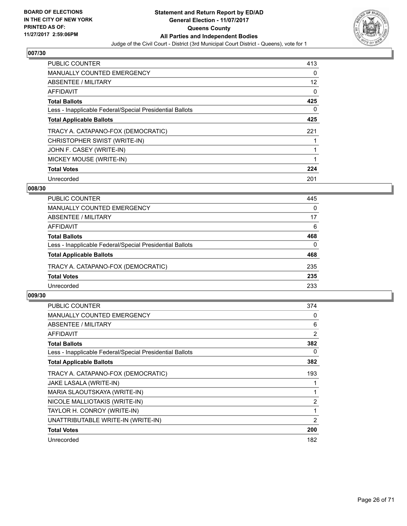

| PUBLIC COUNTER                                           | 413 |
|----------------------------------------------------------|-----|
| <b>MANUALLY COUNTED EMERGENCY</b>                        | 0   |
| ABSENTEE / MILITARY                                      | 12  |
| <b>AFFIDAVIT</b>                                         | 0   |
| <b>Total Ballots</b>                                     | 425 |
| Less - Inapplicable Federal/Special Presidential Ballots | 0   |
| <b>Total Applicable Ballots</b>                          | 425 |
| TRACY A. CATAPANO-FOX (DEMOCRATIC)                       | 221 |
| CHRISTOPHER SWIST (WRITE-IN)                             |     |
| JOHN F. CASEY (WRITE-IN)                                 | 1   |
| MICKEY MOUSE (WRITE-IN)                                  |     |
| <b>Total Votes</b>                                       | 224 |
| Unrecorded                                               | 201 |

## **008/30**

| <b>PUBLIC COUNTER</b>                                    | 445      |
|----------------------------------------------------------|----------|
| <b>MANUALLY COUNTED EMERGENCY</b>                        | 0        |
| ABSENTEE / MILITARY                                      | 17       |
| AFFIDAVIT                                                | 6        |
| <b>Total Ballots</b>                                     | 468      |
| Less - Inapplicable Federal/Special Presidential Ballots | $\Omega$ |
| <b>Total Applicable Ballots</b>                          | 468      |
| TRACY A. CATAPANO-FOX (DEMOCRATIC)                       | 235      |
| <b>Total Votes</b>                                       | 235      |
| Unrecorded                                               | 233      |

| <b>PUBLIC COUNTER</b>                                    | 374            |
|----------------------------------------------------------|----------------|
| <b>MANUALLY COUNTED EMERGENCY</b>                        | 0              |
| ABSENTEE / MILITARY                                      | 6              |
| AFFIDAVIT                                                | 2              |
| <b>Total Ballots</b>                                     | 382            |
| Less - Inapplicable Federal/Special Presidential Ballots | 0              |
| <b>Total Applicable Ballots</b>                          | 382            |
| TRACY A. CATAPANO-FOX (DEMOCRATIC)                       | 193            |
| JAKE LASALA (WRITE-IN)                                   |                |
| MARIA SLAOUTSKAYA (WRITE-IN)                             |                |
| NICOLE MALLIOTAKIS (WRITE-IN)                            | $\overline{2}$ |
| TAYLOR H. CONROY (WRITE-IN)                              | 1              |
| UNATTRIBUTABLE WRITE-IN (WRITE-IN)                       | 2              |
| <b>Total Votes</b>                                       | 200            |
| Unrecorded                                               | 182            |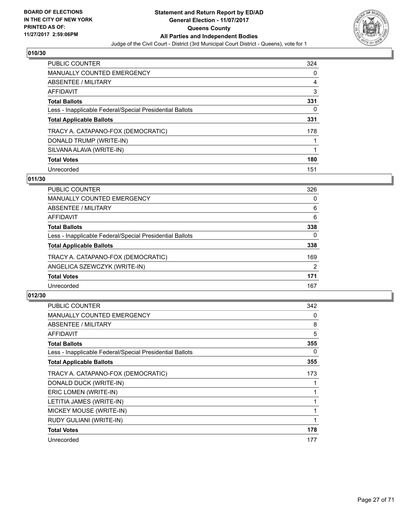

| <b>PUBLIC COUNTER</b>                                    | 324 |
|----------------------------------------------------------|-----|
| <b>MANUALLY COUNTED EMERGENCY</b>                        | 0   |
| ABSENTEE / MILITARY                                      | 4   |
| AFFIDAVIT                                                | 3   |
| <b>Total Ballots</b>                                     | 331 |
| Less - Inapplicable Federal/Special Presidential Ballots | 0   |
| <b>Total Applicable Ballots</b>                          | 331 |
| TRACY A. CATAPANO-FOX (DEMOCRATIC)                       | 178 |
| DONALD TRUMP (WRITE-IN)                                  |     |
| SILVANA ALAVA (WRITE-IN)                                 |     |
| <b>Total Votes</b>                                       | 180 |
| Unrecorded                                               | 151 |

## **011/30**

| 326 |
|-----|
| 0   |
| 6   |
| 6   |
| 338 |
| 0   |
| 338 |
| 169 |
| 2   |
| 171 |
| 167 |
|     |

| <b>PUBLIC COUNTER</b>                                    | 342 |
|----------------------------------------------------------|-----|
| <b>MANUALLY COUNTED EMERGENCY</b>                        | 0   |
| ABSENTEE / MILITARY                                      | 8   |
| AFFIDAVIT                                                | 5   |
| <b>Total Ballots</b>                                     | 355 |
| Less - Inapplicable Federal/Special Presidential Ballots | 0   |
| <b>Total Applicable Ballots</b>                          | 355 |
| TRACY A. CATAPANO-FOX (DEMOCRATIC)                       | 173 |
| DONALD DUCK (WRITE-IN)                                   |     |
| ERIC LOMEN (WRITE-IN)                                    |     |
| LETITIA JAMES (WRITE-IN)                                 |     |
| MICKEY MOUSE (WRITE-IN)                                  | 1   |
| RUDY GULIANI (WRITE-IN)                                  | 1   |
| <b>Total Votes</b>                                       | 178 |
| Unrecorded                                               | 177 |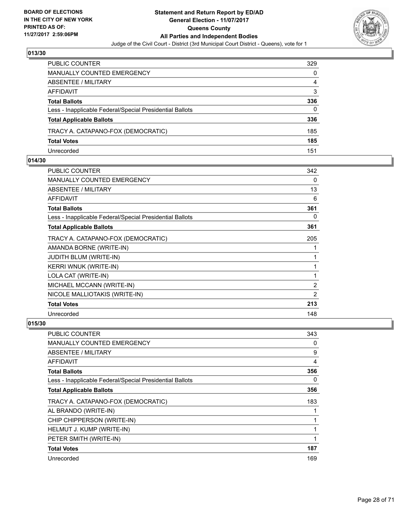

| PUBLIC COUNTER                                           | 329 |
|----------------------------------------------------------|-----|
| MANUALLY COUNTED EMERGENCY                               | 0   |
| ABSENTEE / MILITARY                                      | 4   |
| AFFIDAVIT                                                | 3   |
| <b>Total Ballots</b>                                     | 336 |
| Less - Inapplicable Federal/Special Presidential Ballots | 0   |
| <b>Total Applicable Ballots</b>                          | 336 |
| TRACY A. CATAPANO-FOX (DEMOCRATIC)                       | 185 |
| <b>Total Votes</b>                                       | 185 |
| Unrecorded                                               | 151 |

## **014/30**

| <b>PUBLIC COUNTER</b>                                    | 342            |
|----------------------------------------------------------|----------------|
| <b>MANUALLY COUNTED EMERGENCY</b>                        | 0              |
| ABSENTEE / MILITARY                                      | 13             |
| <b>AFFIDAVIT</b>                                         | 6              |
| <b>Total Ballots</b>                                     | 361            |
| Less - Inapplicable Federal/Special Presidential Ballots | 0              |
| <b>Total Applicable Ballots</b>                          | 361            |
| TRACY A. CATAPANO-FOX (DEMOCRATIC)                       | 205            |
| AMANDA BORNE (WRITE-IN)                                  | 1              |
| <b>JUDITH BLUM (WRITE-IN)</b>                            | 1              |
| <b>KERRI WNUK (WRITE-IN)</b>                             | 1              |
| LOLA CAT (WRITE-IN)                                      | 1              |
| MICHAEL MCCANN (WRITE-IN)                                | $\overline{2}$ |
| NICOLE MALLIOTAKIS (WRITE-IN)                            | 2              |
| <b>Total Votes</b>                                       | 213            |
| Unrecorded                                               | 148            |

| <b>PUBLIC COUNTER</b>                                    | 343 |
|----------------------------------------------------------|-----|
| MANUALLY COUNTED EMERGENCY                               | 0   |
| ABSENTEE / MILITARY                                      | 9   |
| AFFIDAVIT                                                | 4   |
| <b>Total Ballots</b>                                     | 356 |
| Less - Inapplicable Federal/Special Presidential Ballots | 0   |
| <b>Total Applicable Ballots</b>                          | 356 |
| TRACY A. CATAPANO-FOX (DEMOCRATIC)                       | 183 |
| AL BRANDO (WRITE-IN)                                     |     |
| CHIP CHIPPERSON (WRITE-IN)                               |     |
| HELMUT J. KUMP (WRITE-IN)                                |     |
| PETER SMITH (WRITE-IN)                                   |     |
| <b>Total Votes</b>                                       | 187 |
| Unrecorded                                               | 169 |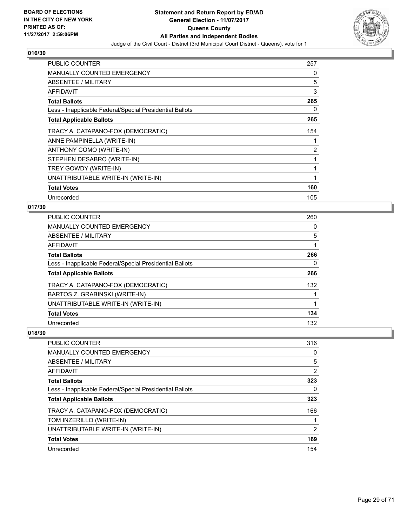

| <b>PUBLIC COUNTER</b>                                    | 257 |
|----------------------------------------------------------|-----|
| <b>MANUALLY COUNTED EMERGENCY</b>                        | 0   |
| ABSENTEE / MILITARY                                      | 5   |
| AFFIDAVIT                                                | 3   |
| <b>Total Ballots</b>                                     | 265 |
| Less - Inapplicable Federal/Special Presidential Ballots | 0   |
| <b>Total Applicable Ballots</b>                          | 265 |
| TRACY A. CATAPANO-FOX (DEMOCRATIC)                       | 154 |
| ANNE PAMPINELLA (WRITE-IN)                               |     |
| ANTHONY COMO (WRITE-IN)                                  | 2   |
| STEPHEN DESABRO (WRITE-IN)                               | 1   |
| TREY GOWDY (WRITE-IN)                                    | 1   |
| UNATTRIBUTABLE WRITE-IN (WRITE-IN)                       | 1   |
| <b>Total Votes</b>                                       | 160 |
| Unrecorded                                               | 105 |

# **017/30**

| <b>PUBLIC COUNTER</b>                                    | 260 |
|----------------------------------------------------------|-----|
| <b>MANUALLY COUNTED EMERGENCY</b>                        | 0   |
| <b>ABSENTEE / MILITARY</b>                               | 5   |
| <b>AFFIDAVIT</b>                                         |     |
| <b>Total Ballots</b>                                     | 266 |
| Less - Inapplicable Federal/Special Presidential Ballots | 0   |
| <b>Total Applicable Ballots</b>                          | 266 |
| TRACY A. CATAPANO-FOX (DEMOCRATIC)                       | 132 |
| BARTOS Z. GRABINSKI (WRITE-IN)                           |     |
| UNATTRIBUTABLE WRITE-IN (WRITE-IN)                       | 1   |
| <b>Total Votes</b>                                       | 134 |
| Unrecorded                                               | 132 |

| PUBLIC COUNTER                                           | 316 |
|----------------------------------------------------------|-----|
| <b>MANUALLY COUNTED EMERGENCY</b>                        | 0   |
| ABSENTEE / MILITARY                                      | 5   |
| <b>AFFIDAVIT</b>                                         | 2   |
| <b>Total Ballots</b>                                     | 323 |
| Less - Inapplicable Federal/Special Presidential Ballots | 0   |
| <b>Total Applicable Ballots</b>                          | 323 |
| TRACY A. CATAPANO-FOX (DEMOCRATIC)                       | 166 |
| TOM INZERILLO (WRITE-IN)                                 |     |
| UNATTRIBUTABLE WRITE-IN (WRITE-IN)                       | 2   |
| <b>Total Votes</b>                                       | 169 |
| Unrecorded                                               | 154 |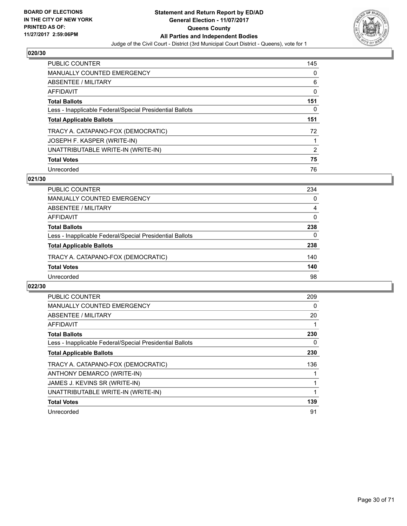

| <b>PUBLIC COUNTER</b>                                    | 145 |
|----------------------------------------------------------|-----|
| MANUALLY COUNTED EMERGENCY                               | 0   |
| ABSENTEE / MILITARY                                      | 6   |
| AFFIDAVIT                                                | 0   |
| <b>Total Ballots</b>                                     | 151 |
| Less - Inapplicable Federal/Special Presidential Ballots | 0   |
|                                                          |     |
| <b>Total Applicable Ballots</b>                          | 151 |
| TRACY A. CATAPANO-FOX (DEMOCRATIC)                       | 72  |
| JOSEPH F. KASPER (WRITE-IN)                              |     |
| UNATTRIBUTABLE WRITE-IN (WRITE-IN)                       | 2   |
| <b>Total Votes</b>                                       | 75  |

## **021/30**

| <b>PUBLIC COUNTER</b>                                    | 234 |
|----------------------------------------------------------|-----|
| <b>MANUALLY COUNTED EMERGENCY</b>                        | 0   |
| ABSENTEE / MILITARY                                      | 4   |
| AFFIDAVIT                                                | 0   |
| <b>Total Ballots</b>                                     | 238 |
| Less - Inapplicable Federal/Special Presidential Ballots | 0   |
| <b>Total Applicable Ballots</b>                          | 238 |
| TRACY A. CATAPANO-FOX (DEMOCRATIC)                       | 140 |
| <b>Total Votes</b>                                       | 140 |
| Unrecorded                                               | 98  |

| <b>PUBLIC COUNTER</b>                                    | 209 |
|----------------------------------------------------------|-----|
| <b>MANUALLY COUNTED EMERGENCY</b>                        | 0   |
| ABSENTEE / MILITARY                                      | 20  |
| <b>AFFIDAVIT</b>                                         |     |
| <b>Total Ballots</b>                                     | 230 |
| Less - Inapplicable Federal/Special Presidential Ballots | 0   |
| <b>Total Applicable Ballots</b>                          | 230 |
| TRACY A. CATAPANO-FOX (DEMOCRATIC)                       | 136 |
| ANTHONY DEMARCO (WRITE-IN)                               |     |
| JAMES J. KEVINS SR (WRITE-IN)                            |     |
| UNATTRIBUTABLE WRITE-IN (WRITE-IN)                       |     |
| <b>Total Votes</b>                                       | 139 |
| Unrecorded                                               | 91  |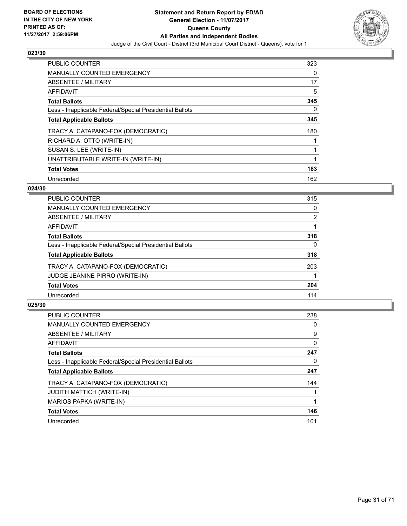

| <b>PUBLIC COUNTER</b>                                    | 323 |
|----------------------------------------------------------|-----|
| <b>MANUALLY COUNTED EMERGENCY</b>                        | 0   |
| ABSENTEE / MILITARY                                      | 17  |
| <b>AFFIDAVIT</b>                                         | 5   |
| <b>Total Ballots</b>                                     | 345 |
| Less - Inapplicable Federal/Special Presidential Ballots | 0   |
| <b>Total Applicable Ballots</b>                          | 345 |
| TRACY A. CATAPANO-FOX (DEMOCRATIC)                       | 180 |
| RICHARD A. OTTO (WRITE-IN)                               |     |
| SUSAN S. LEE (WRITE-IN)                                  |     |
| UNATTRIBUTABLE WRITE-IN (WRITE-IN)                       | 1   |
| <b>Total Votes</b>                                       | 183 |
| Unrecorded                                               | 162 |

# **024/30**

| <b>PUBLIC COUNTER</b>                                    | 315 |
|----------------------------------------------------------|-----|
| <b>MANUALLY COUNTED EMERGENCY</b>                        | 0   |
| ABSENTEE / MILITARY                                      | 2   |
| AFFIDAVIT                                                |     |
| <b>Total Ballots</b>                                     | 318 |
| Less - Inapplicable Federal/Special Presidential Ballots | 0   |
| <b>Total Applicable Ballots</b>                          | 318 |
| TRACY A. CATAPANO-FOX (DEMOCRATIC)                       | 203 |
| JUDGE JEANINE PIRRO (WRITE-IN)                           |     |
| <b>Total Votes</b>                                       | 204 |
| Unrecorded                                               | 114 |
|                                                          |     |

| <b>PUBLIC COUNTER</b>                                    | 238 |
|----------------------------------------------------------|-----|
| <b>MANUALLY COUNTED EMERGENCY</b>                        | 0   |
| ABSENTEE / MILITARY                                      | 9   |
| AFFIDAVIT                                                | 0   |
| <b>Total Ballots</b>                                     | 247 |
| Less - Inapplicable Federal/Special Presidential Ballots | 0   |
| <b>Total Applicable Ballots</b>                          | 247 |
| TRACY A. CATAPANO-FOX (DEMOCRATIC)                       | 144 |
| JUDITH MATTICH (WRITE-IN)                                |     |
| MARIOS PAPKA (WRITE-IN)                                  |     |
| <b>Total Votes</b>                                       | 146 |
| Unrecorded                                               | 101 |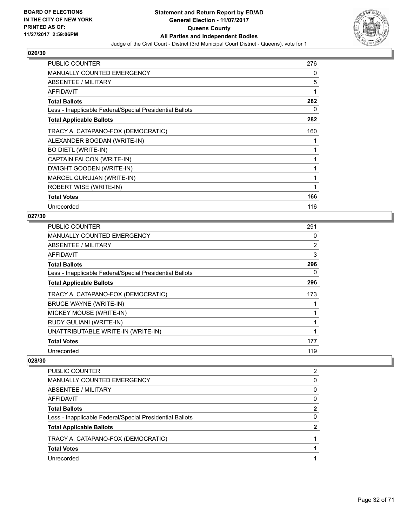

| <b>PUBLIC COUNTER</b>                                    | 276 |
|----------------------------------------------------------|-----|
| <b>MANUALLY COUNTED EMERGENCY</b>                        | 0   |
| ABSENTEE / MILITARY                                      | 5   |
| <b>AFFIDAVIT</b>                                         | 1   |
| <b>Total Ballots</b>                                     | 282 |
| Less - Inapplicable Federal/Special Presidential Ballots | 0   |
| <b>Total Applicable Ballots</b>                          | 282 |
| TRACY A. CATAPANO-FOX (DEMOCRATIC)                       | 160 |
| ALEXANDER BOGDAN (WRITE-IN)                              |     |
| <b>BO DIETL (WRITE-IN)</b>                               | 1   |
| CAPTAIN FALCON (WRITE-IN)                                | 1   |
| DWIGHT GOODEN (WRITE-IN)                                 | 1   |
| MARCEL GURUJAN (WRITE-IN)                                | 1   |
| ROBERT WISE (WRITE-IN)                                   | 1   |
| <b>Total Votes</b>                                       | 166 |
| Unrecorded                                               | 116 |

# **027/30**

| <b>PUBLIC COUNTER</b>                                    | 291 |
|----------------------------------------------------------|-----|
| <b>MANUALLY COUNTED EMERGENCY</b>                        | 0   |
| ABSENTEE / MILITARY                                      | 2   |
| AFFIDAVIT                                                | 3   |
| <b>Total Ballots</b>                                     | 296 |
| Less - Inapplicable Federal/Special Presidential Ballots | 0   |
| <b>Total Applicable Ballots</b>                          | 296 |
| TRACY A. CATAPANO-FOX (DEMOCRATIC)                       | 173 |
| <b>BRUCE WAYNE (WRITE-IN)</b>                            |     |
| MICKEY MOUSE (WRITE-IN)                                  |     |
| RUDY GULIANI (WRITE-IN)                                  | 1   |
| UNATTRIBUTABLE WRITE-IN (WRITE-IN)                       |     |
| <b>Total Votes</b>                                       | 177 |
| Unrecorded                                               | 119 |

| <b>PUBLIC COUNTER</b>                                    | 2 |
|----------------------------------------------------------|---|
| <b>MANUALLY COUNTED EMERGENCY</b>                        | 0 |
| ABSENTEE / MILITARY                                      | 0 |
| AFFIDAVIT                                                | 0 |
| <b>Total Ballots</b>                                     | 2 |
| Less - Inapplicable Federal/Special Presidential Ballots | 0 |
| <b>Total Applicable Ballots</b>                          | 2 |
| TRACY A. CATAPANO-FOX (DEMOCRATIC)                       |   |
| <b>Total Votes</b>                                       |   |
| Unrecorded                                               |   |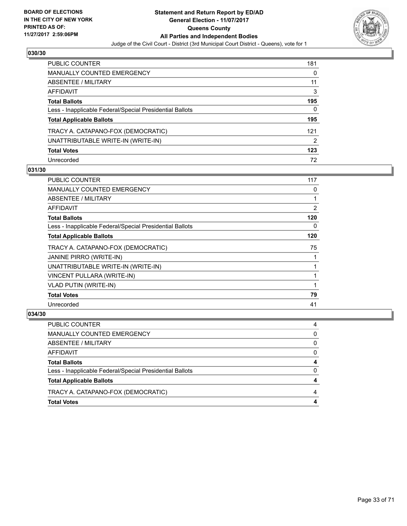

| <b>PUBLIC COUNTER</b>                                    | 181 |
|----------------------------------------------------------|-----|
| <b>MANUALLY COUNTED EMERGENCY</b>                        | 0   |
| ABSENTEE / MILITARY                                      | 11  |
| AFFIDAVIT                                                | 3   |
| <b>Total Ballots</b>                                     | 195 |
| Less - Inapplicable Federal/Special Presidential Ballots | 0   |
| <b>Total Applicable Ballots</b>                          | 195 |
| TRACY A. CATAPANO-FOX (DEMOCRATIC)                       | 121 |
| UNATTRIBUTABLE WRITE-IN (WRITE-IN)                       | 2   |
| <b>Total Votes</b>                                       | 123 |
| Unrecorded                                               | 72  |

## **031/30**

| <b>PUBLIC COUNTER</b>                                    | 117 |
|----------------------------------------------------------|-----|
| MANUALLY COUNTED EMERGENCY                               | 0   |
| ABSENTEE / MILITARY                                      |     |
| AFFIDAVIT                                                | 2   |
| <b>Total Ballots</b>                                     | 120 |
| Less - Inapplicable Federal/Special Presidential Ballots | 0   |
| <b>Total Applicable Ballots</b>                          | 120 |
| TRACY A. CATAPANO-FOX (DEMOCRATIC)                       | 75  |
| JANINE PIRRO (WRITE-IN)                                  |     |
| UNATTRIBUTABLE WRITE-IN (WRITE-IN)                       |     |
| VINCENT PULLARA (WRITE-IN)                               |     |
| <b>VLAD PUTIN (WRITE-IN)</b>                             |     |
| <b>Total Votes</b>                                       | 79  |
| Unrecorded                                               | 41  |

| <b>Total Votes</b>                                       | 4        |
|----------------------------------------------------------|----------|
| TRACY A. CATAPANO-FOX (DEMOCRATIC)                       |          |
| <b>Total Applicable Ballots</b>                          | 4        |
| Less - Inapplicable Federal/Special Presidential Ballots | $\Omega$ |
| <b>Total Ballots</b>                                     | 4        |
| <b>AFFIDAVIT</b>                                         | $\Omega$ |
| ABSENTEE / MILITARY                                      | $\Omega$ |
| MANUALLY COUNTED EMERGENCY                               | $\Omega$ |
| PUBLIC COUNTER                                           | 4        |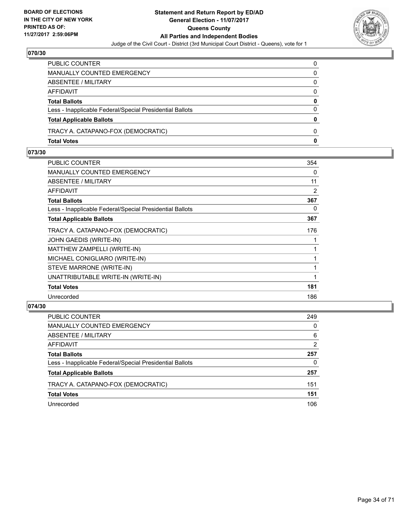

| PUBLIC COUNTER                                           | 0            |
|----------------------------------------------------------|--------------|
| MANUALLY COUNTED EMERGENCY                               | 0            |
| ABSENTEE / MILITARY                                      | $\mathbf{0}$ |
| AFFIDAVIT                                                | $\Omega$     |
| <b>Total Ballots</b>                                     | $\mathbf{0}$ |
| Less - Inapplicable Federal/Special Presidential Ballots | $\Omega$     |
| <b>Total Applicable Ballots</b>                          | $\bf{0}$     |
| TRACY A. CATAPANO-FOX (DEMOCRATIC)                       | 0            |
| <b>Total Votes</b>                                       | $\mathbf{0}$ |

# **073/30**

| PUBLIC COUNTER                                           | 354 |
|----------------------------------------------------------|-----|
| <b>MANUALLY COUNTED EMERGENCY</b>                        | 0   |
| <b>ABSENTEE / MILITARY</b>                               | 11  |
| <b>AFFIDAVIT</b>                                         | 2   |
| <b>Total Ballots</b>                                     | 367 |
| Less - Inapplicable Federal/Special Presidential Ballots | 0   |
| <b>Total Applicable Ballots</b>                          | 367 |
| TRACY A. CATAPANO-FOX (DEMOCRATIC)                       | 176 |
| JOHN GAEDIS (WRITE-IN)                                   |     |
| MATTHEW ZAMPELLI (WRITE-IN)                              | 1   |
| MICHAEL CONIGLIARO (WRITE-IN)                            | 1   |
| STEVE MARRONE (WRITE-IN)                                 | 1   |
| UNATTRIBUTABLE WRITE-IN (WRITE-IN)                       | 1   |
| <b>Total Votes</b>                                       | 181 |
| Unrecorded                                               | 186 |
|                                                          |     |

| <b>PUBLIC COUNTER</b>                                    | 249 |
|----------------------------------------------------------|-----|
| MANUALLY COUNTED EMERGENCY                               | 0   |
| ABSENTEE / MILITARY                                      | 6   |
| AFFIDAVIT                                                | 2   |
| <b>Total Ballots</b>                                     | 257 |
| Less - Inapplicable Federal/Special Presidential Ballots | 0   |
| <b>Total Applicable Ballots</b>                          | 257 |
| TRACY A. CATAPANO-FOX (DEMOCRATIC)                       | 151 |
| <b>Total Votes</b>                                       | 151 |
| Unrecorded                                               | 106 |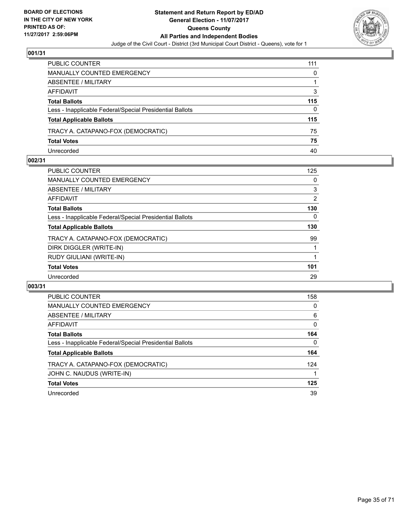

| PUBLIC COUNTER                                           | 111 |
|----------------------------------------------------------|-----|
| MANUALLY COUNTED EMERGENCY                               | 0   |
| ABSENTEE / MILITARY                                      |     |
| AFFIDAVIT                                                | 3   |
| <b>Total Ballots</b>                                     | 115 |
| Less - Inapplicable Federal/Special Presidential Ballots | 0   |
| <b>Total Applicable Ballots</b>                          | 115 |
| TRACY A. CATAPANO-FOX (DEMOCRATIC)                       | 75  |
| <b>Total Votes</b>                                       | 75  |
| Unrecorded                                               | 40  |

## **002/31**

| PUBLIC COUNTER                                           | 125 |
|----------------------------------------------------------|-----|
| <b>MANUALLY COUNTED EMERGENCY</b>                        | 0   |
| ABSENTEE / MILITARY                                      | 3   |
| AFFIDAVIT                                                | 2   |
| <b>Total Ballots</b>                                     | 130 |
| Less - Inapplicable Federal/Special Presidential Ballots | 0   |
| <b>Total Applicable Ballots</b>                          | 130 |
| TRACY A. CATAPANO-FOX (DEMOCRATIC)                       | 99  |
| DIRK DIGGLER (WRITE-IN)                                  |     |
| RUDY GIULIANI (WRITE-IN)                                 |     |
| <b>Total Votes</b>                                       | 101 |
| Unrecorded                                               | 29  |
|                                                          |     |

| <b>PUBLIC COUNTER</b>                                    | 158 |
|----------------------------------------------------------|-----|
| <b>MANUALLY COUNTED EMERGENCY</b>                        | 0   |
| ABSENTEE / MILITARY                                      | 6   |
| <b>AFFIDAVIT</b>                                         | 0   |
| <b>Total Ballots</b>                                     | 164 |
| Less - Inapplicable Federal/Special Presidential Ballots | 0   |
| <b>Total Applicable Ballots</b>                          | 164 |
| TRACY A. CATAPANO-FOX (DEMOCRATIC)                       | 124 |
| JOHN C. NAUDUS (WRITE-IN)                                |     |
| <b>Total Votes</b>                                       | 125 |
| Unrecorded                                               | 39  |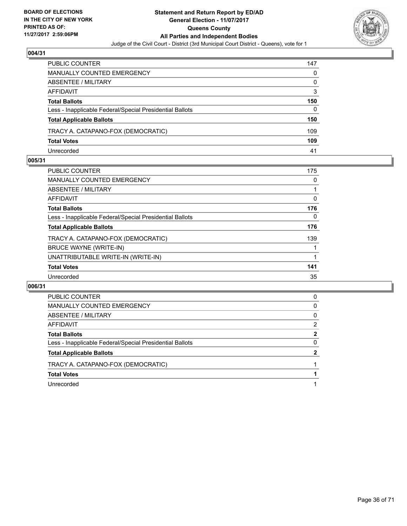

| PUBLIC COUNTER                                           | 147 |
|----------------------------------------------------------|-----|
| <b>MANUALLY COUNTED EMERGENCY</b>                        | 0   |
| ABSENTEE / MILITARY                                      | 0   |
| AFFIDAVIT                                                | 3   |
| <b>Total Ballots</b>                                     | 150 |
| Less - Inapplicable Federal/Special Presidential Ballots | 0   |
| <b>Total Applicable Ballots</b>                          | 150 |
| TRACY A. CATAPANO-FOX (DEMOCRATIC)                       | 109 |
| <b>Total Votes</b>                                       | 109 |
| Unrecorded                                               | 41  |

## **005/31**

| <b>PUBLIC COUNTER</b>                                    | 175 |
|----------------------------------------------------------|-----|
| <b>MANUALLY COUNTED EMERGENCY</b>                        | 0   |
| ABSENTEE / MILITARY                                      |     |
| AFFIDAVIT                                                | 0   |
| <b>Total Ballots</b>                                     | 176 |
| Less - Inapplicable Federal/Special Presidential Ballots | 0   |
| <b>Total Applicable Ballots</b>                          | 176 |
| TRACY A. CATAPANO-FOX (DEMOCRATIC)                       | 139 |
| BRUCE WAYNE (WRITE-IN)                                   |     |
| UNATTRIBUTABLE WRITE-IN (WRITE-IN)                       |     |
| <b>Total Votes</b>                                       | 141 |
| Unrecorded                                               | 35  |
|                                                          |     |

| PUBLIC COUNTER                                           | 0            |
|----------------------------------------------------------|--------------|
| <b>MANUALLY COUNTED EMERGENCY</b>                        | 0            |
| ABSENTEE / MILITARY                                      | 0            |
| AFFIDAVIT                                                | 2            |
| <b>Total Ballots</b>                                     | 2            |
| Less - Inapplicable Federal/Special Presidential Ballots | 0            |
| <b>Total Applicable Ballots</b>                          | $\mathbf{2}$ |
| TRACY A. CATAPANO-FOX (DEMOCRATIC)                       |              |
| <b>Total Votes</b>                                       |              |
| Unrecorded                                               |              |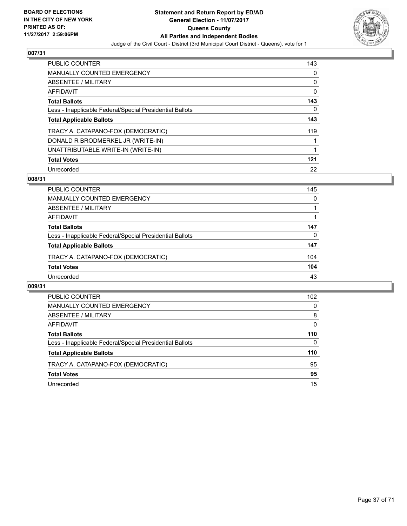

| <b>PUBLIC COUNTER</b>                                    | 143 |
|----------------------------------------------------------|-----|
| <b>MANUALLY COUNTED EMERGENCY</b>                        | 0   |
| ABSENTEE / MILITARY                                      | 0   |
| AFFIDAVIT                                                | 0   |
| <b>Total Ballots</b>                                     | 143 |
| Less - Inapplicable Federal/Special Presidential Ballots | 0   |
| <b>Total Applicable Ballots</b>                          | 143 |
| TRACY A. CATAPANO-FOX (DEMOCRATIC)                       | 119 |
| DONALD R BRODMERKEL JR (WRITE-IN)                        |     |
| UNATTRIBUTABLE WRITE-IN (WRITE-IN)                       |     |
| <b>Total Votes</b>                                       | 121 |
| Unrecorded                                               | 22  |

## **008/31**

| <b>PUBLIC COUNTER</b>                                    | 145 |
|----------------------------------------------------------|-----|
| <b>MANUALLY COUNTED EMERGENCY</b>                        | 0   |
| ABSENTEE / MILITARY                                      |     |
| AFFIDAVIT                                                |     |
| <b>Total Ballots</b>                                     | 147 |
| Less - Inapplicable Federal/Special Presidential Ballots | 0   |
| <b>Total Applicable Ballots</b>                          | 147 |
| TRACY A. CATAPANO-FOX (DEMOCRATIC)                       | 104 |
| <b>Total Votes</b>                                       | 104 |
| Unrecorded                                               | 43  |

| <b>PUBLIC COUNTER</b>                                    | 102 |
|----------------------------------------------------------|-----|
| <b>MANUALLY COUNTED EMERGENCY</b>                        | 0   |
| ABSENTEE / MILITARY                                      | 8   |
| AFFIDAVIT                                                | 0   |
| <b>Total Ballots</b>                                     | 110 |
| Less - Inapplicable Federal/Special Presidential Ballots | 0   |
| <b>Total Applicable Ballots</b>                          | 110 |
| TRACY A. CATAPANO-FOX (DEMOCRATIC)                       | 95  |
| <b>Total Votes</b>                                       | 95  |
| Unrecorded                                               | 15  |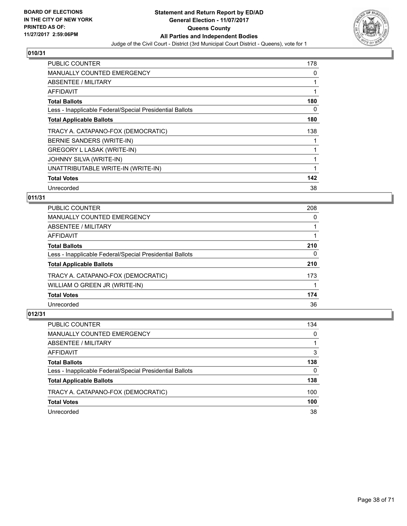

| <b>PUBLIC COUNTER</b>                                    | 178 |
|----------------------------------------------------------|-----|
| <b>MANUALLY COUNTED EMERGENCY</b>                        | 0   |
| ABSENTEE / MILITARY                                      |     |
| AFFIDAVIT                                                |     |
| <b>Total Ballots</b>                                     | 180 |
| Less - Inapplicable Federal/Special Presidential Ballots | 0   |
| <b>Total Applicable Ballots</b>                          | 180 |
| TRACY A. CATAPANO-FOX (DEMOCRATIC)                       | 138 |
| BERNIE SANDERS (WRITE-IN)                                |     |
| GREGORY L LASAK (WRITE-IN)                               |     |
| JOHNNY SILVA (WRITE-IN)                                  |     |
| UNATTRIBUTABLE WRITE-IN (WRITE-IN)                       |     |
| <b>Total Votes</b>                                       | 142 |
| Unrecorded                                               | 38  |

# **011/31**

| <b>PUBLIC COUNTER</b>                                    | 208 |
|----------------------------------------------------------|-----|
| MANUALLY COUNTED EMERGENCY                               | 0   |
| ABSENTEE / MILITARY                                      |     |
| AFFIDAVIT                                                |     |
| <b>Total Ballots</b>                                     | 210 |
| Less - Inapplicable Federal/Special Presidential Ballots | 0   |
| <b>Total Applicable Ballots</b>                          | 210 |
| TRACY A. CATAPANO-FOX (DEMOCRATIC)                       | 173 |
| WILLIAM O GREEN JR (WRITE-IN)                            |     |
| <b>Total Votes</b>                                       | 174 |
| Unrecorded                                               | 36  |

| <b>PUBLIC COUNTER</b>                                    | 134      |
|----------------------------------------------------------|----------|
| MANUALLY COUNTED EMERGENCY                               | 0        |
| ABSENTEE / MILITARY                                      |          |
| AFFIDAVIT                                                | 3        |
| <b>Total Ballots</b>                                     | 138      |
| Less - Inapplicable Federal/Special Presidential Ballots | $\Omega$ |
| <b>Total Applicable Ballots</b>                          | 138      |
| TRACY A. CATAPANO-FOX (DEMOCRATIC)                       | 100      |
| <b>Total Votes</b>                                       | 100      |
| Unrecorded                                               | 38       |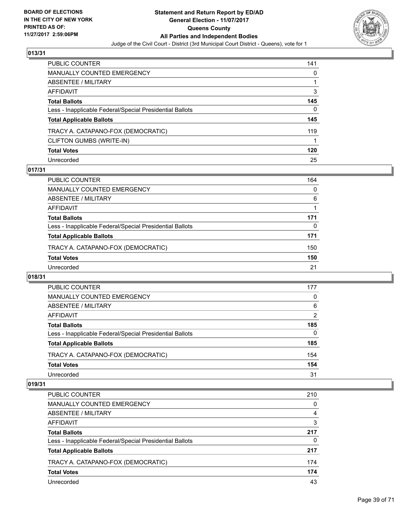

| PUBLIC COUNTER                                           | 141 |
|----------------------------------------------------------|-----|
| <b>MANUALLY COUNTED EMERGENCY</b>                        | 0   |
| <b>ABSENTEE / MILITARY</b>                               |     |
| AFFIDAVIT                                                | 3   |
| <b>Total Ballots</b>                                     | 145 |
| Less - Inapplicable Federal/Special Presidential Ballots | 0   |
| <b>Total Applicable Ballots</b>                          | 145 |
| TRACY A. CATAPANO-FOX (DEMOCRATIC)                       | 119 |
| CLIFTON GUMBS (WRITE-IN)                                 |     |
| <b>Total Votes</b>                                       | 120 |
| Unrecorded                                               | 25  |

# **017/31**

| <b>PUBLIC COUNTER</b>                                    | 164      |
|----------------------------------------------------------|----------|
| MANUALLY COUNTED EMERGENCY                               | $\Omega$ |
| ABSENTEE / MILITARY                                      | 6        |
| AFFIDAVIT                                                |          |
| <b>Total Ballots</b>                                     | 171      |
| Less - Inapplicable Federal/Special Presidential Ballots | 0        |
| <b>Total Applicable Ballots</b>                          | 171      |
| TRACY A. CATAPANO-FOX (DEMOCRATIC)                       | 150      |
| <b>Total Votes</b>                                       | 150      |
| Unrecorded                                               | 21       |

## **018/31**

| <b>PUBLIC COUNTER</b>                                    | 177            |
|----------------------------------------------------------|----------------|
| <b>MANUALLY COUNTED EMERGENCY</b>                        | 0              |
| ABSENTEE / MILITARY                                      | 6              |
| AFFIDAVIT                                                | $\overline{2}$ |
| <b>Total Ballots</b>                                     | 185            |
| Less - Inapplicable Federal/Special Presidential Ballots | $\Omega$       |
| <b>Total Applicable Ballots</b>                          | 185            |
| TRACY A. CATAPANO-FOX (DEMOCRATIC)                       | 154            |
| <b>Total Votes</b>                                       | 154            |
| Unrecorded                                               | 31             |

| <b>PUBLIC COUNTER</b>                                    | 210 |
|----------------------------------------------------------|-----|
| <b>MANUALLY COUNTED EMERGENCY</b>                        | 0   |
| ABSENTEE / MILITARY                                      | 4   |
| AFFIDAVIT                                                | 3   |
| <b>Total Ballots</b>                                     | 217 |
| Less - Inapplicable Federal/Special Presidential Ballots | 0   |
| <b>Total Applicable Ballots</b>                          | 217 |
| TRACY A. CATAPANO-FOX (DEMOCRATIC)                       | 174 |
| <b>Total Votes</b>                                       | 174 |
| Unrecorded                                               | 43  |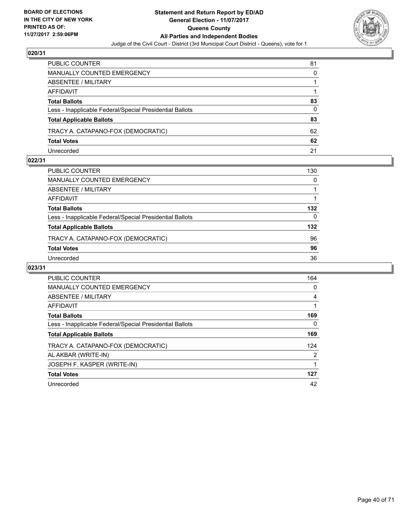

| PUBLIC COUNTER                                           | 81 |
|----------------------------------------------------------|----|
| <b>MANUALLY COUNTED EMERGENCY</b>                        | 0  |
| ABSENTEE / MILITARY                                      |    |
| AFFIDAVIT                                                |    |
| <b>Total Ballots</b>                                     | 83 |
| Less - Inapplicable Federal/Special Presidential Ballots | 0  |
| <b>Total Applicable Ballots</b>                          | 83 |
| TRACY A. CATAPANO-FOX (DEMOCRATIC)                       | 62 |
| <b>Total Votes</b>                                       | 62 |
| Unrecorded                                               | 21 |

## **022/31**

| PUBLIC COUNTER                                           | 130 |
|----------------------------------------------------------|-----|
| <b>MANUALLY COUNTED EMERGENCY</b>                        | 0   |
| ABSENTEE / MILITARY                                      |     |
| AFFIDAVIT                                                |     |
| <b>Total Ballots</b>                                     | 132 |
| Less - Inapplicable Federal/Special Presidential Ballots | 0   |
| <b>Total Applicable Ballots</b>                          | 132 |
| TRACY A. CATAPANO-FOX (DEMOCRATIC)                       | 96  |
| <b>Total Votes</b>                                       | 96  |
| Unrecorded                                               | 36  |
|                                                          |     |

| <b>PUBLIC COUNTER</b>                                    | 164            |
|----------------------------------------------------------|----------------|
| <b>MANUALLY COUNTED EMERGENCY</b>                        | 0              |
| ABSENTEE / MILITARY                                      | 4              |
| <b>AFFIDAVIT</b>                                         |                |
| <b>Total Ballots</b>                                     | 169            |
| Less - Inapplicable Federal/Special Presidential Ballots | 0              |
| <b>Total Applicable Ballots</b>                          | 169            |
| TRACY A. CATAPANO-FOX (DEMOCRATIC)                       | 124            |
| AL AKBAR (WRITE-IN)                                      | $\overline{2}$ |
| JOSEPH F. KASPER (WRITE-IN)                              |                |
| <b>Total Votes</b>                                       | 127            |
| Unrecorded                                               | 42             |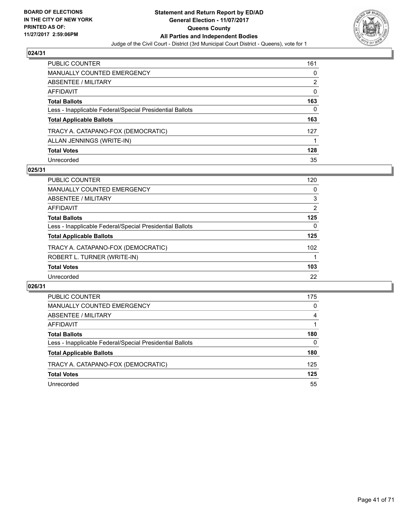

| <b>PUBLIC COUNTER</b>                                    | 161 |
|----------------------------------------------------------|-----|
| <b>MANUALLY COUNTED EMERGENCY</b>                        | 0   |
| <b>ABSENTEE / MILITARY</b>                               | 2   |
| AFFIDAVIT                                                | 0   |
| <b>Total Ballots</b>                                     | 163 |
| Less - Inapplicable Federal/Special Presidential Ballots | 0   |
| <b>Total Applicable Ballots</b>                          | 163 |
| TRACY A. CATAPANO-FOX (DEMOCRATIC)                       | 127 |
| ALLAN JENNINGS (WRITE-IN)                                |     |
| <b>Total Votes</b>                                       | 128 |
| Unrecorded                                               | 35  |

## **025/31**

| <b>PUBLIC COUNTER</b>                                    | 120 |
|----------------------------------------------------------|-----|
| <b>MANUALLY COUNTED EMERGENCY</b>                        | 0   |
| ABSENTEE / MILITARY                                      | 3   |
| AFFIDAVIT                                                | 2   |
| <b>Total Ballots</b>                                     | 125 |
| Less - Inapplicable Federal/Special Presidential Ballots | 0   |
| <b>Total Applicable Ballots</b>                          | 125 |
| TRACY A. CATAPANO-FOX (DEMOCRATIC)                       | 102 |
| ROBERT L. TURNER (WRITE-IN)                              |     |
| <b>Total Votes</b>                                       | 103 |
| Unrecorded                                               | 22  |

| <b>PUBLIC COUNTER</b>                                    | 175      |
|----------------------------------------------------------|----------|
| <b>MANUALLY COUNTED EMERGENCY</b>                        | 0        |
| <b>ABSENTEE / MILITARY</b>                               | 4        |
| AFFIDAVIT                                                |          |
| <b>Total Ballots</b>                                     | 180      |
| Less - Inapplicable Federal/Special Presidential Ballots | $\Omega$ |
| <b>Total Applicable Ballots</b>                          | 180      |
| TRACY A. CATAPANO-FOX (DEMOCRATIC)                       | 125      |
| <b>Total Votes</b>                                       | 125      |
| Unrecorded                                               | 55       |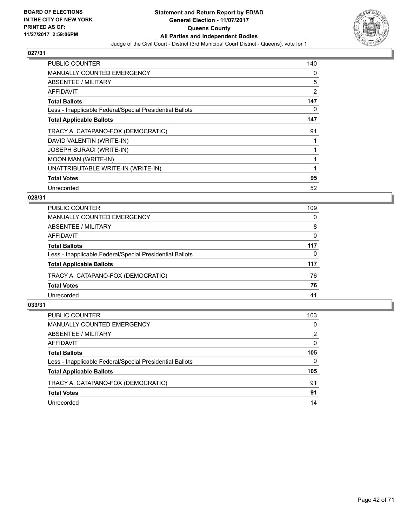

| <b>PUBLIC COUNTER</b>                                    | 140 |
|----------------------------------------------------------|-----|
| <b>MANUALLY COUNTED EMERGENCY</b>                        | 0   |
| <b>ABSENTEE / MILITARY</b>                               | 5   |
| AFFIDAVIT                                                | 2   |
| <b>Total Ballots</b>                                     | 147 |
| Less - Inapplicable Federal/Special Presidential Ballots | 0   |
| <b>Total Applicable Ballots</b>                          | 147 |
| TRACY A. CATAPANO-FOX (DEMOCRATIC)                       | 91  |
| DAVID VALENTIN (WRITE-IN)                                |     |
| <b>JOSEPH SURACI (WRITE-IN)</b>                          |     |
| <b>MOON MAN (WRITE-IN)</b>                               |     |
| UNATTRIBUTABLE WRITE-IN (WRITE-IN)                       |     |
| <b>Total Votes</b>                                       | 95  |
| Unrecorded                                               | 52  |

# **028/31**

| PUBLIC COUNTER                                           | 109 |
|----------------------------------------------------------|-----|
| MANUALLY COUNTED EMERGENCY                               | 0   |
| ABSENTEE / MILITARY                                      | 8   |
| AFFIDAVIT                                                | 0   |
| <b>Total Ballots</b>                                     | 117 |
| Less - Inapplicable Federal/Special Presidential Ballots | 0   |
| <b>Total Applicable Ballots</b>                          | 117 |
| TRACY A. CATAPANO-FOX (DEMOCRATIC)                       | 76  |
| <b>Total Votes</b>                                       | 76  |
| Unrecorded                                               | 41  |
|                                                          |     |

| <b>PUBLIC COUNTER</b>                                    | 103 |
|----------------------------------------------------------|-----|
| MANUALLY COUNTED EMERGENCY                               | 0   |
| ABSENTEE / MILITARY                                      | 2   |
| AFFIDAVIT                                                | 0   |
| <b>Total Ballots</b>                                     | 105 |
| Less - Inapplicable Federal/Special Presidential Ballots | 0   |
| <b>Total Applicable Ballots</b>                          | 105 |
| TRACY A. CATAPANO-FOX (DEMOCRATIC)                       | 91  |
| <b>Total Votes</b>                                       | 91  |
| Unrecorded                                               | 14  |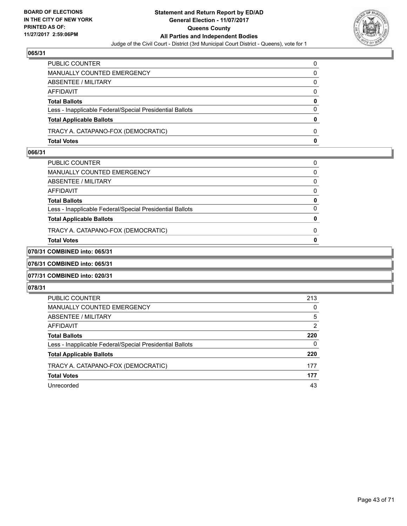

| PUBLIC COUNTER                                           | 0            |
|----------------------------------------------------------|--------------|
| <b>MANUALLY COUNTED EMERGENCY</b>                        | 0            |
| ABSENTEE / MILITARY                                      | $\Omega$     |
| <b>AFFIDAVIT</b>                                         | $\Omega$     |
| <b>Total Ballots</b>                                     | 0            |
| Less - Inapplicable Federal/Special Presidential Ballots | $\Omega$     |
| <b>Total Applicable Ballots</b>                          | 0            |
| TRACY A. CATAPANO-FOX (DEMOCRATIC)                       | 0            |
| <b>Total Votes</b>                                       | $\mathbf{0}$ |

# **066/31**

| PUBLIC COUNTER                                           | 0            |
|----------------------------------------------------------|--------------|
| MANUALLY COUNTED EMERGENCY                               | 0            |
| ABSENTEE / MILITARY                                      | 0            |
| AFFIDAVIT                                                | $\Omega$     |
| <b>Total Ballots</b>                                     | 0            |
| Less - Inapplicable Federal/Special Presidential Ballots | <sup>0</sup> |
| <b>Total Applicable Ballots</b>                          | 0            |
| TRACY A. CATAPANO-FOX (DEMOCRATIC)                       | 0            |
| Total Votes                                              | O            |
|                                                          |              |

# **070/31 COMBINED into: 065/31**

**076/31 COMBINED into: 065/31**

## **077/31 COMBINED into: 020/31**

| <b>PUBLIC COUNTER</b>                                    | 213 |
|----------------------------------------------------------|-----|
| <b>MANUALLY COUNTED EMERGENCY</b>                        | 0   |
| ABSENTEE / MILITARY                                      | 5   |
| AFFIDAVIT                                                | 2   |
| <b>Total Ballots</b>                                     | 220 |
| Less - Inapplicable Federal/Special Presidential Ballots | 0   |
| <b>Total Applicable Ballots</b>                          | 220 |
| TRACY A. CATAPANO-FOX (DEMOCRATIC)                       | 177 |
| <b>Total Votes</b>                                       | 177 |
| Unrecorded                                               | 43  |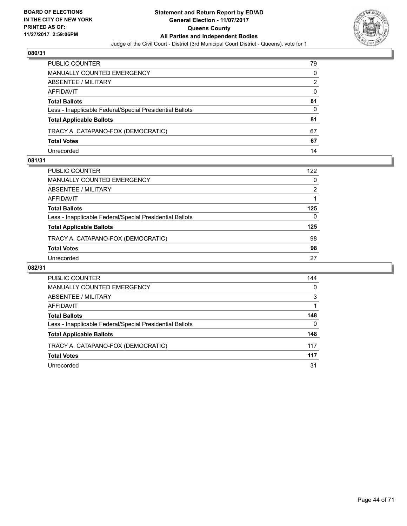

| PUBLIC COUNTER                                           | 79 |
|----------------------------------------------------------|----|
| <b>MANUALLY COUNTED EMERGENCY</b>                        | 0  |
| <b>ABSENTEE / MILITARY</b>                               | 2  |
| AFFIDAVIT                                                | 0  |
| <b>Total Ballots</b>                                     | 81 |
| Less - Inapplicable Federal/Special Presidential Ballots | 0  |
| <b>Total Applicable Ballots</b>                          | 81 |
| TRACY A. CATAPANO-FOX (DEMOCRATIC)                       | 67 |
| <b>Total Votes</b>                                       | 67 |
| Unrecorded                                               | 14 |

## **081/31**

| PUBLIC COUNTER                                           | 122 |
|----------------------------------------------------------|-----|
| MANUALLY COUNTED EMERGENCY                               | 0   |
| ABSENTEE / MILITARY                                      | 2   |
| AFFIDAVIT                                                |     |
| <b>Total Ballots</b>                                     | 125 |
| Less - Inapplicable Federal/Special Presidential Ballots | 0   |
| <b>Total Applicable Ballots</b>                          | 125 |
| TRACY A. CATAPANO-FOX (DEMOCRATIC)                       | 98  |
| <b>Total Votes</b>                                       | 98  |
| Unrecorded                                               | 27  |
|                                                          |     |

| <b>PUBLIC COUNTER</b>                                    | 144 |
|----------------------------------------------------------|-----|
| MANUALLY COUNTED EMERGENCY                               | 0   |
| ABSENTEE / MILITARY                                      | 3   |
| AFFIDAVIT                                                |     |
| <b>Total Ballots</b>                                     | 148 |
| Less - Inapplicable Federal/Special Presidential Ballots | 0   |
| <b>Total Applicable Ballots</b>                          | 148 |
| TRACY A. CATAPANO-FOX (DEMOCRATIC)                       | 117 |
| <b>Total Votes</b>                                       | 117 |
| Unrecorded                                               | 31  |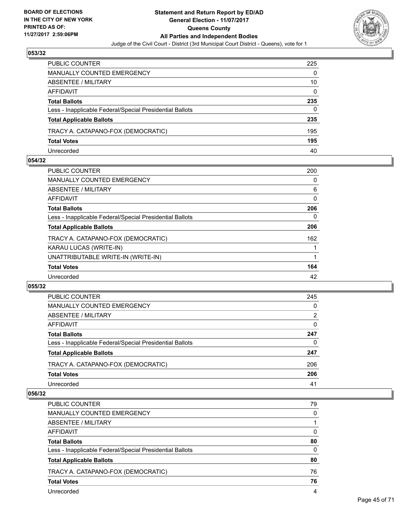

| PUBLIC COUNTER                                           | 225 |
|----------------------------------------------------------|-----|
| <b>MANUALLY COUNTED EMERGENCY</b>                        | 0   |
| ABSENTEE / MILITARY                                      | 10  |
| AFFIDAVIT                                                | 0   |
| <b>Total Ballots</b>                                     | 235 |
| Less - Inapplicable Federal/Special Presidential Ballots | 0   |
| <b>Total Applicable Ballots</b>                          | 235 |
| TRACY A. CATAPANO-FOX (DEMOCRATIC)                       | 195 |
| <b>Total Votes</b>                                       | 195 |
| Unrecorded                                               | 40  |

## **054/32**

| PUBLIC COUNTER                                           | 200 |
|----------------------------------------------------------|-----|
| <b>MANUALLY COUNTED EMERGENCY</b>                        | 0   |
| ABSENTEE / MILITARY                                      | 6   |
| AFFIDAVIT                                                | 0   |
| <b>Total Ballots</b>                                     | 206 |
| Less - Inapplicable Federal/Special Presidential Ballots | 0   |
| <b>Total Applicable Ballots</b>                          | 206 |
| TRACY A. CATAPANO-FOX (DEMOCRATIC)                       | 162 |
| KARAU LUCAS (WRITE-IN)                                   |     |
| UNATTRIBUTABLE WRITE-IN (WRITE-IN)                       |     |
| <b>Total Votes</b>                                       | 164 |
| Unrecorded                                               | 42  |
|                                                          |     |

## **055/32**

| <b>PUBLIC COUNTER</b>                                    | 245            |
|----------------------------------------------------------|----------------|
| MANUALLY COUNTED EMERGENCY                               | 0              |
| ABSENTEE / MILITARY                                      | $\overline{2}$ |
| AFFIDAVIT                                                | 0              |
| <b>Total Ballots</b>                                     | 247            |
| Less - Inapplicable Federal/Special Presidential Ballots | 0              |
| <b>Total Applicable Ballots</b>                          | 247            |
| TRACY A. CATAPANO-FOX (DEMOCRATIC)                       | 206            |
| <b>Total Votes</b>                                       | 206            |
| Unrecorded                                               | 41             |

| PUBLIC COUNTER                                           | 79       |
|----------------------------------------------------------|----------|
| <b>MANUALLY COUNTED EMERGENCY</b>                        | 0        |
| ABSENTEE / MILITARY                                      |          |
| AFFIDAVIT                                                | 0        |
| <b>Total Ballots</b>                                     | 80       |
| Less - Inapplicable Federal/Special Presidential Ballots | $\Omega$ |
| <b>Total Applicable Ballots</b>                          | 80       |
| TRACY A. CATAPANO-FOX (DEMOCRATIC)                       | 76       |
| <b>Total Votes</b>                                       | 76       |
| Unrecorded                                               | 4        |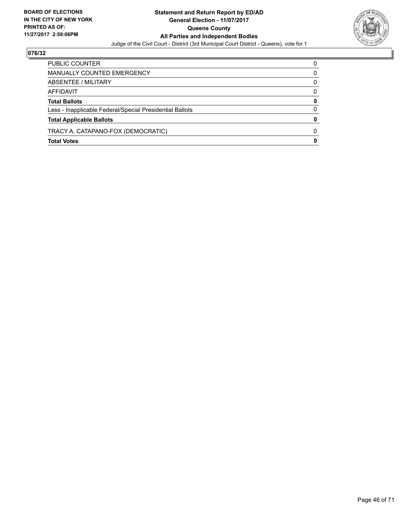

| PUBLIC COUNTER                                           | 0            |
|----------------------------------------------------------|--------------|
| MANUALLY COUNTED EMERGENCY                               | 0            |
| ABSENTEE / MILITARY                                      | 0            |
| AFFIDAVIT                                                | $\Omega$     |
| <b>Total Ballots</b>                                     | 0            |
| Less - Inapplicable Federal/Special Presidential Ballots | 0            |
| <b>Total Applicable Ballots</b>                          | $\Omega$     |
| TRACY A. CATAPANO-FOX (DEMOCRATIC)                       | <sup>0</sup> |
| <b>Total Votes</b>                                       | 0            |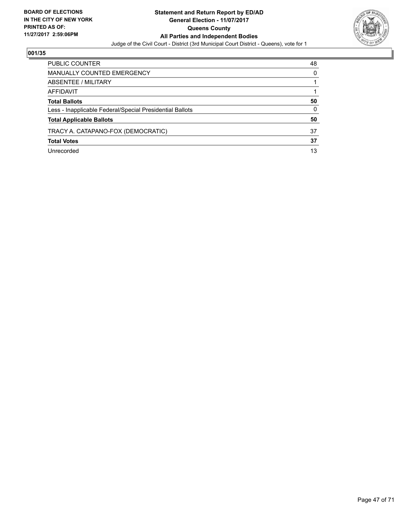

| <b>PUBLIC COUNTER</b>                                    | 48 |
|----------------------------------------------------------|----|
| MANUALLY COUNTED EMERGENCY                               | 0  |
| ABSENTEE / MILITARY                                      |    |
| AFFIDAVIT                                                |    |
| <b>Total Ballots</b>                                     | 50 |
| Less - Inapplicable Federal/Special Presidential Ballots | 0  |
| <b>Total Applicable Ballots</b>                          | 50 |
| TRACY A. CATAPANO-FOX (DEMOCRATIC)                       | 37 |
| <b>Total Votes</b>                                       | 37 |
| Unrecorded                                               | 13 |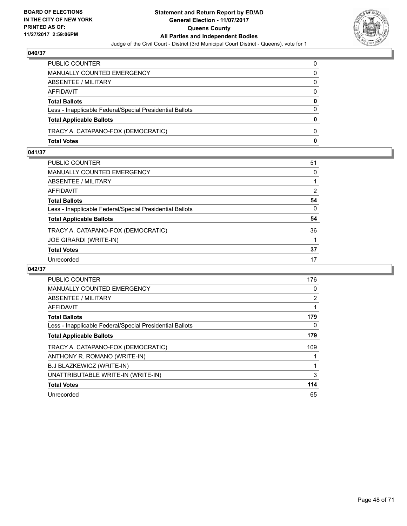

| PUBLIC COUNTER                                           | 0            |
|----------------------------------------------------------|--------------|
| MANUALLY COUNTED EMERGENCY                               | 0            |
| ABSENTEE / MILITARY                                      | 0            |
| AFFIDAVIT                                                | $\Omega$     |
| <b>Total Ballots</b>                                     | 0            |
| Less - Inapplicable Federal/Special Presidential Ballots | $\Omega$     |
| <b>Total Applicable Ballots</b>                          | $\mathbf{0}$ |
| TRACY A. CATAPANO-FOX (DEMOCRATIC)                       | $\Omega$     |
| <b>Total Votes</b>                                       | $\mathbf{0}$ |

# **041/37**

| PUBLIC COUNTER                                           | 51           |
|----------------------------------------------------------|--------------|
| MANUALLY COUNTED EMERGENCY                               | $\Omega$     |
| ABSENTEE / MILITARY                                      |              |
| AFFIDAVIT                                                | 2            |
| Total Ballots                                            | 54           |
| Less - Inapplicable Federal/Special Presidential Ballots | $\mathbf{0}$ |
| <b>Total Applicable Ballots</b>                          | 54           |
| TRACY A. CATAPANO-FOX (DEMOCRATIC)                       | 36           |
| JOE GIRARDI (WRITE-IN)                                   |              |
| <b>Total Votes</b>                                       | 37           |
| Unrecorded                                               | 17           |

| <b>PUBLIC COUNTER</b>                                    | 176 |
|----------------------------------------------------------|-----|
| <b>MANUALLY COUNTED EMERGENCY</b>                        | 0   |
| <b>ABSENTEE / MILITARY</b>                               | 2   |
| AFFIDAVIT                                                |     |
| <b>Total Ballots</b>                                     | 179 |
| Less - Inapplicable Federal/Special Presidential Ballots | 0   |
| <b>Total Applicable Ballots</b>                          | 179 |
| TRACY A. CATAPANO-FOX (DEMOCRATIC)                       | 109 |
| ANTHONY R. ROMANO (WRITE-IN)                             |     |
| B.J BLAZKEWICZ (WRITE-IN)                                |     |
| UNATTRIBUTABLE WRITE-IN (WRITE-IN)                       | 3   |
| <b>Total Votes</b>                                       | 114 |
| Unrecorded                                               | 65  |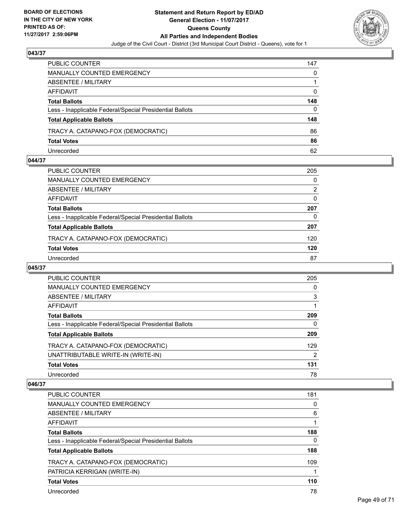

| PUBLIC COUNTER                                           | 147 |
|----------------------------------------------------------|-----|
| <b>MANUALLY COUNTED EMERGENCY</b>                        | 0   |
| <b>ABSENTEE / MILITARY</b>                               |     |
| AFFIDAVIT                                                | 0   |
| <b>Total Ballots</b>                                     | 148 |
| Less - Inapplicable Federal/Special Presidential Ballots | 0   |
| <b>Total Applicable Ballots</b>                          | 148 |
| TRACY A. CATAPANO-FOX (DEMOCRATIC)                       | 86  |
| <b>Total Votes</b>                                       | 86  |
| Unrecorded                                               | 62  |

## **044/37**

| PUBLIC COUNTER                                           | 205 |
|----------------------------------------------------------|-----|
| <b>MANUALLY COUNTED EMERGENCY</b>                        | 0   |
| <b>ABSENTEE / MILITARY</b>                               | 2   |
| AFFIDAVIT                                                | 0   |
| <b>Total Ballots</b>                                     | 207 |
| Less - Inapplicable Federal/Special Presidential Ballots | 0   |
| <b>Total Applicable Ballots</b>                          | 207 |
| TRACY A. CATAPANO-FOX (DEMOCRATIC)                       | 120 |
| <b>Total Votes</b>                                       | 120 |
| Unrecorded                                               | 87  |
|                                                          |     |

## **045/37**

| <b>PUBLIC COUNTER</b>                                    | 205            |
|----------------------------------------------------------|----------------|
| <b>MANUALLY COUNTED EMERGENCY</b>                        | 0              |
| ABSENTEE / MILITARY                                      | 3              |
| AFFIDAVIT                                                |                |
| <b>Total Ballots</b>                                     | 209            |
| Less - Inapplicable Federal/Special Presidential Ballots | 0              |
| <b>Total Applicable Ballots</b>                          | 209            |
| TRACY A. CATAPANO-FOX (DEMOCRATIC)                       | 129            |
| UNATTRIBUTABLE WRITE-IN (WRITE-IN)                       | $\overline{2}$ |
| <b>Total Votes</b>                                       | 131            |
| Unrecorded                                               | 78             |

| <b>PUBLIC COUNTER</b>                                    | 181 |
|----------------------------------------------------------|-----|
| <b>MANUALLY COUNTED EMERGENCY</b>                        | 0   |
| ABSENTEE / MILITARY                                      | 6   |
| AFFIDAVIT                                                |     |
| <b>Total Ballots</b>                                     | 188 |
| Less - Inapplicable Federal/Special Presidential Ballots | 0   |
| <b>Total Applicable Ballots</b>                          | 188 |
| TRACY A. CATAPANO-FOX (DEMOCRATIC)                       | 109 |
| PATRICIA KERRIGAN (WRITE-IN)                             |     |
| <b>Total Votes</b>                                       | 110 |
| Unrecorded                                               | 78  |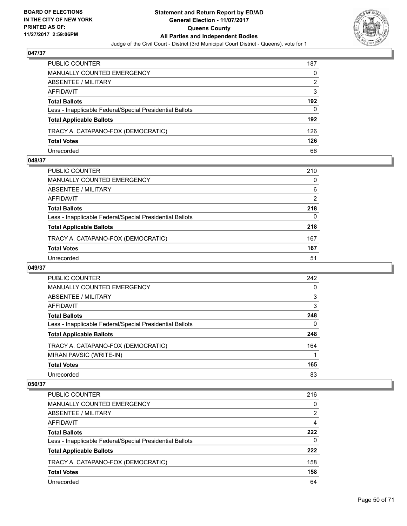

| PUBLIC COUNTER                                           | 187 |
|----------------------------------------------------------|-----|
| MANUALLY COUNTED EMERGENCY                               | 0   |
| ABSENTEE / MILITARY                                      | 2   |
| AFFIDAVIT                                                | 3   |
| <b>Total Ballots</b>                                     | 192 |
| Less - Inapplicable Federal/Special Presidential Ballots | 0   |
| <b>Total Applicable Ballots</b>                          | 192 |
| TRACY A. CATAPANO-FOX (DEMOCRATIC)                       | 126 |
| <b>Total Votes</b>                                       | 126 |
| Unrecorded                                               | 66  |

## **048/37**

| PUBLIC COUNTER                                           | 210 |
|----------------------------------------------------------|-----|
| MANUALLY COUNTED EMERGENCY                               | 0   |
| <b>ABSENTEE / MILITARY</b>                               | 6   |
| AFFIDAVIT                                                | 2   |
| <b>Total Ballots</b>                                     | 218 |
| Less - Inapplicable Federal/Special Presidential Ballots | 0   |
| <b>Total Applicable Ballots</b>                          | 218 |
| TRACY A. CATAPANO-FOX (DEMOCRATIC)                       | 167 |
| <b>Total Votes</b>                                       | 167 |
| Unrecorded                                               | 51  |

## **049/37**

| <b>PUBLIC COUNTER</b>                                    | 242 |
|----------------------------------------------------------|-----|
| <b>MANUALLY COUNTED EMERGENCY</b>                        | 0   |
| ABSENTEE / MILITARY                                      | 3   |
| AFFIDAVIT                                                | 3   |
| <b>Total Ballots</b>                                     | 248 |
| Less - Inapplicable Federal/Special Presidential Ballots | 0   |
| <b>Total Applicable Ballots</b>                          | 248 |
| TRACY A. CATAPANO-FOX (DEMOCRATIC)                       | 164 |
| MIRAN PAVSIC (WRITE-IN)                                  |     |
| <b>Total Votes</b>                                       | 165 |
| Unrecorded                                               | 83  |

| <b>PUBLIC COUNTER</b>                                    | 216 |
|----------------------------------------------------------|-----|
| <b>MANUALLY COUNTED EMERGENCY</b>                        | 0   |
| ABSENTEE / MILITARY                                      | 2   |
| AFFIDAVIT                                                | 4   |
| <b>Total Ballots</b>                                     | 222 |
| Less - Inapplicable Federal/Special Presidential Ballots | 0   |
| <b>Total Applicable Ballots</b>                          | 222 |
| TRACY A. CATAPANO-FOX (DEMOCRATIC)                       | 158 |
| <b>Total Votes</b>                                       | 158 |
| Unrecorded                                               | 64  |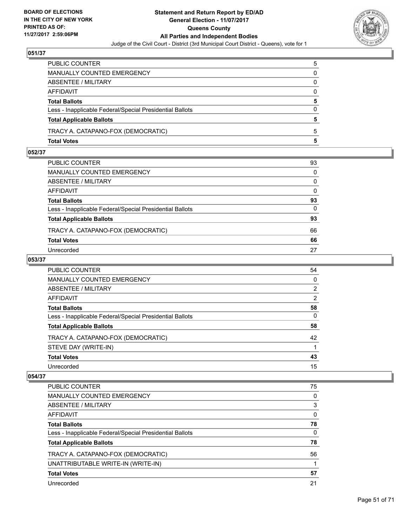

| PUBLIC COUNTER                                           | 5        |
|----------------------------------------------------------|----------|
| MANUALLY COUNTED EMERGENCY                               | 0        |
| ABSENTEE / MILITARY                                      | 0        |
| AFFIDAVIT                                                | $\Omega$ |
| <b>Total Ballots</b>                                     | 5        |
| Less - Inapplicable Federal/Special Presidential Ballots | $\Omega$ |
| <b>Total Applicable Ballots</b>                          | 5        |
| TRACY A. CATAPANO-FOX (DEMOCRATIC)                       | 5        |
| <b>Total Votes</b>                                       | 5        |

# **052/37**

| PUBLIC COUNTER                                           | 93           |
|----------------------------------------------------------|--------------|
| MANUALLY COUNTED EMERGENCY                               | $\mathbf{0}$ |
| <b>ABSENTEE / MILITARY</b>                               | $\mathbf{0}$ |
| AFFIDAVIT                                                | $\mathbf{0}$ |
| Total Ballots                                            | 93           |
| Less - Inapplicable Federal/Special Presidential Ballots | $\Omega$     |
| <b>Total Applicable Ballots</b>                          | 93           |
| TRACY A. CATAPANO-FOX (DEMOCRATIC)                       | 66           |
| <b>Total Votes</b>                                       | 66           |
| Unrecorded                                               | 27           |
|                                                          |              |

# **053/37**

| <b>PUBLIC COUNTER</b>                                    | 54 |
|----------------------------------------------------------|----|
| MANUALLY COUNTED EMERGENCY                               | 0  |
| ABSENTEE / MILITARY                                      | 2  |
| AFFIDAVIT                                                | 2  |
| <b>Total Ballots</b>                                     | 58 |
| Less - Inapplicable Federal/Special Presidential Ballots | 0  |
| <b>Total Applicable Ballots</b>                          | 58 |
| TRACY A. CATAPANO-FOX (DEMOCRATIC)                       | 42 |
| STEVE DAY (WRITE-IN)                                     |    |
| <b>Total Votes</b>                                       | 43 |
| Unrecorded                                               | 15 |

| <b>PUBLIC COUNTER</b>                                    | 75 |
|----------------------------------------------------------|----|
| <b>MANUALLY COUNTED EMERGENCY</b>                        | 0  |
| ABSENTEE / MILITARY                                      | 3  |
| <b>AFFIDAVIT</b>                                         | 0  |
| <b>Total Ballots</b>                                     | 78 |
| Less - Inapplicable Federal/Special Presidential Ballots | 0  |
| <b>Total Applicable Ballots</b>                          | 78 |
| TRACY A. CATAPANO-FOX (DEMOCRATIC)                       | 56 |
| UNATTRIBUTABLE WRITE-IN (WRITE-IN)                       |    |
| <b>Total Votes</b>                                       | 57 |
| Unrecorded                                               | 21 |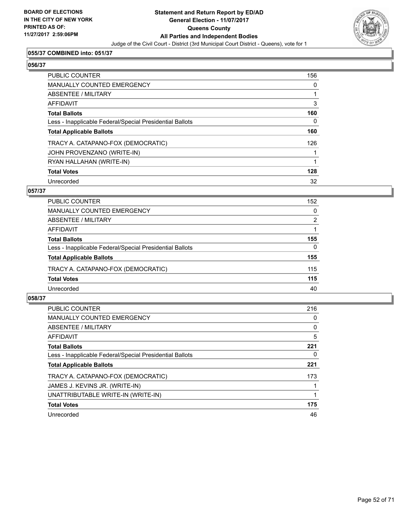

# **055/37 COMBINED into: 051/37**

#### **056/37**

| <b>PUBLIC COUNTER</b>                                    | 156 |
|----------------------------------------------------------|-----|
| <b>MANUALLY COUNTED EMERGENCY</b>                        | 0   |
| ABSENTEE / MILITARY                                      |     |
| AFFIDAVIT                                                | 3   |
| <b>Total Ballots</b>                                     | 160 |
| Less - Inapplicable Federal/Special Presidential Ballots | 0   |
| <b>Total Applicable Ballots</b>                          | 160 |
| TRACY A. CATAPANO-FOX (DEMOCRATIC)                       | 126 |
| JOHN PROVENZANO (WRITE-IN)                               |     |
| RYAN HALLAHAN (WRITE-IN)                                 |     |
| <b>Total Votes</b>                                       | 128 |
| Unrecorded                                               | 32  |

## **057/37**

| <b>PUBLIC COUNTER</b>                                    | 152      |
|----------------------------------------------------------|----------|
| MANUALLY COUNTED EMERGENCY                               | 0        |
| ABSENTEE / MILITARY                                      | 2        |
| AFFIDAVIT                                                |          |
| <b>Total Ballots</b>                                     | 155      |
| Less - Inapplicable Federal/Special Presidential Ballots | $\Omega$ |
| <b>Total Applicable Ballots</b>                          | 155      |
| TRACY A. CATAPANO-FOX (DEMOCRATIC)                       | 115      |
| <b>Total Votes</b>                                       | 115      |
| Unrecorded                                               | 40       |

| <b>PUBLIC COUNTER</b>                                    | 216 |
|----------------------------------------------------------|-----|
| <b>MANUALLY COUNTED EMERGENCY</b>                        | 0   |
| ABSENTEE / MILITARY                                      | 0   |
| <b>AFFIDAVIT</b>                                         | 5   |
| <b>Total Ballots</b>                                     | 221 |
| Less - Inapplicable Federal/Special Presidential Ballots | 0   |
| <b>Total Applicable Ballots</b>                          | 221 |
| TRACY A. CATAPANO-FOX (DEMOCRATIC)                       | 173 |
| JAMES J. KEVINS JR. (WRITE-IN)                           |     |
| UNATTRIBUTABLE WRITE-IN (WRITE-IN)                       |     |
| <b>Total Votes</b>                                       | 175 |
| Unrecorded                                               | 46  |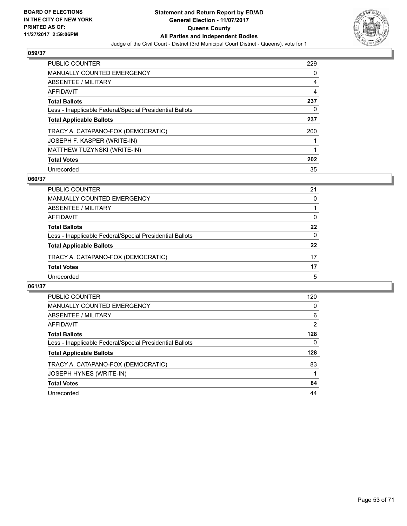

| <b>PUBLIC COUNTER</b>                                    | 229 |
|----------------------------------------------------------|-----|
| <b>MANUALLY COUNTED EMERGENCY</b>                        | 0   |
| ABSENTEE / MILITARY                                      | 4   |
| AFFIDAVIT                                                | 4   |
| <b>Total Ballots</b>                                     | 237 |
| Less - Inapplicable Federal/Special Presidential Ballots | 0   |
| <b>Total Applicable Ballots</b>                          | 237 |
| TRACY A. CATAPANO-FOX (DEMOCRATIC)                       | 200 |
| JOSEPH F. KASPER (WRITE-IN)                              |     |
| MATTHEW TUZYNSKI (WRITE-IN)                              |     |
|                                                          |     |
| <b>Total Votes</b>                                       | 202 |

## **060/37**

| <b>PUBLIC COUNTER</b>                                    | 21 |
|----------------------------------------------------------|----|
| MANUALLY COUNTED EMERGENCY                               | 0  |
| ABSENTEE / MILITARY                                      |    |
| AFFIDAVIT                                                | 0  |
| <b>Total Ballots</b>                                     | 22 |
| Less - Inapplicable Federal/Special Presidential Ballots | 0  |
| <b>Total Applicable Ballots</b>                          | 22 |
| TRACY A. CATAPANO-FOX (DEMOCRATIC)                       | 17 |
| <b>Total Votes</b>                                       | 17 |
| Unrecorded                                               | 5  |

| <b>PUBLIC COUNTER</b>                                    | 120 |
|----------------------------------------------------------|-----|
| <b>MANUALLY COUNTED EMERGENCY</b>                        | 0   |
| ABSENTEE / MILITARY                                      | 6   |
| <b>AFFIDAVIT</b>                                         | 2   |
| <b>Total Ballots</b>                                     | 128 |
| Less - Inapplicable Federal/Special Presidential Ballots | 0   |
| <b>Total Applicable Ballots</b>                          | 128 |
| TRACY A. CATAPANO-FOX (DEMOCRATIC)                       | 83  |
| JOSEPH HYNES (WRITE-IN)                                  |     |
| <b>Total Votes</b>                                       | 84  |
| Unrecorded                                               | 44  |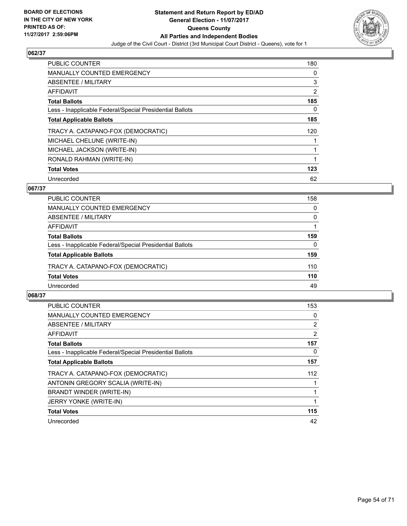

| PUBLIC COUNTER                                           | 180 |
|----------------------------------------------------------|-----|
| <b>MANUALLY COUNTED EMERGENCY</b>                        | 0   |
| ABSENTEE / MILITARY                                      | 3   |
| <b>AFFIDAVIT</b>                                         | 2   |
| <b>Total Ballots</b>                                     | 185 |
| Less - Inapplicable Federal/Special Presidential Ballots | 0   |
| <b>Total Applicable Ballots</b>                          | 185 |
| TRACY A. CATAPANO-FOX (DEMOCRATIC)                       | 120 |
| MICHAEL CHELUNE (WRITE-IN)                               |     |
| MICHAEL JACKSON (WRITE-IN)                               |     |
| RONALD RAHMAN (WRITE-IN)                                 | 1   |
| <b>Total Votes</b>                                       | 123 |
| Unrecorded                                               | 62  |

# **067/37**

| <b>PUBLIC COUNTER</b>                                    | 158 |
|----------------------------------------------------------|-----|
| <b>MANUALLY COUNTED EMERGENCY</b>                        | 0   |
| ABSENTEE / MILITARY                                      | 0   |
| AFFIDAVIT                                                |     |
| <b>Total Ballots</b>                                     | 159 |
| Less - Inapplicable Federal/Special Presidential Ballots | 0   |
| <b>Total Applicable Ballots</b>                          | 159 |
| TRACY A. CATAPANO-FOX (DEMOCRATIC)                       | 110 |
| <b>Total Votes</b>                                       | 110 |
| Unrecorded                                               | 49  |

| <b>PUBLIC COUNTER</b>                                    | 153            |
|----------------------------------------------------------|----------------|
| <b>MANUALLY COUNTED EMERGENCY</b>                        | 0              |
| ABSENTEE / MILITARY                                      | $\overline{2}$ |
| AFFIDAVIT                                                | 2              |
| <b>Total Ballots</b>                                     | 157            |
| Less - Inapplicable Federal/Special Presidential Ballots | 0              |
| <b>Total Applicable Ballots</b>                          | 157            |
| TRACY A. CATAPANO-FOX (DEMOCRATIC)                       | 112            |
| ANTONIN GREGORY SCALIA (WRITE-IN)                        |                |
| BRANDT WINDER (WRITE-IN)                                 |                |
| <b>JERRY YONKE (WRITE-IN)</b>                            |                |
| <b>Total Votes</b>                                       | 115            |
| Unrecorded                                               | 42             |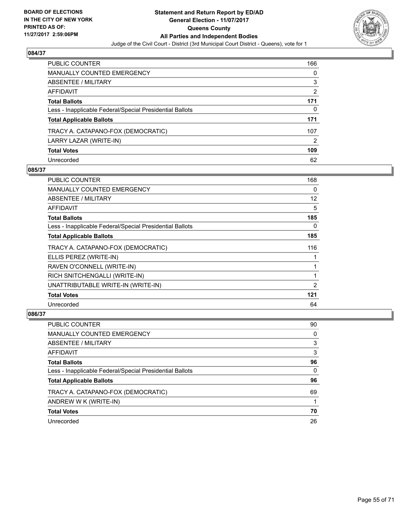

| <b>PUBLIC COUNTER</b>                                    | 166 |
|----------------------------------------------------------|-----|
| <b>MANUALLY COUNTED EMERGENCY</b>                        | 0   |
| ABSENTEE / MILITARY                                      | 3   |
| AFFIDAVIT                                                | 2   |
| <b>Total Ballots</b>                                     | 171 |
| Less - Inapplicable Federal/Special Presidential Ballots | 0   |
| <b>Total Applicable Ballots</b>                          | 171 |
| TRACY A. CATAPANO-FOX (DEMOCRATIC)                       | 107 |
| LARRY LAZAR (WRITE-IN)                                   | 2   |
| <b>Total Votes</b>                                       | 109 |
| Unrecorded                                               | 62  |

# **085/37**

| <b>PUBLIC COUNTER</b>                                    | 168 |
|----------------------------------------------------------|-----|
| <b>MANUALLY COUNTED EMERGENCY</b>                        | 0   |
| ABSENTEE / MILITARY                                      | 12  |
| <b>AFFIDAVIT</b>                                         | 5   |
| <b>Total Ballots</b>                                     | 185 |
| Less - Inapplicable Federal/Special Presidential Ballots | 0   |
| <b>Total Applicable Ballots</b>                          | 185 |
| TRACY A. CATAPANO-FOX (DEMOCRATIC)                       | 116 |
| ELLIS PEREZ (WRITE-IN)                                   |     |
| RAVEN O'CONNELL (WRITE-IN)                               |     |
| RICH SNITCHENGALLI (WRITE-IN)                            |     |
| UNATTRIBUTABLE WRITE-IN (WRITE-IN)                       | 2   |
| <b>Total Votes</b>                                       | 121 |
| Unrecorded                                               | 64  |

| PUBLIC COUNTER                                           | 90 |
|----------------------------------------------------------|----|
| MANUALLY COUNTED EMERGENCY                               | 0  |
| ABSENTEE / MILITARY                                      | 3  |
| AFFIDAVIT                                                | 3  |
| <b>Total Ballots</b>                                     | 96 |
| Less - Inapplicable Federal/Special Presidential Ballots | 0  |
| <b>Total Applicable Ballots</b>                          | 96 |
| TRACY A. CATAPANO-FOX (DEMOCRATIC)                       | 69 |
| ANDREW W K (WRITE-IN)                                    |    |
| <b>Total Votes</b>                                       | 70 |
| Unrecorded                                               | 26 |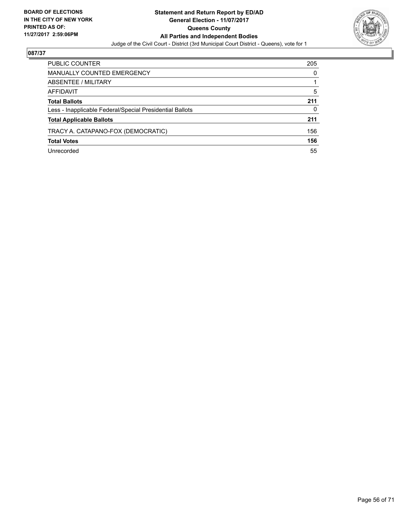

| PUBLIC COUNTER                                           | 205 |
|----------------------------------------------------------|-----|
| <b>MANUALLY COUNTED EMERGENCY</b>                        | 0   |
| ABSENTEE / MILITARY                                      |     |
| AFFIDAVIT                                                | 5   |
| <b>Total Ballots</b>                                     | 211 |
| Less - Inapplicable Federal/Special Presidential Ballots | 0   |
| <b>Total Applicable Ballots</b>                          | 211 |
| TRACY A. CATAPANO-FOX (DEMOCRATIC)                       | 156 |
| <b>Total Votes</b>                                       | 156 |
| Unrecorded                                               | 55  |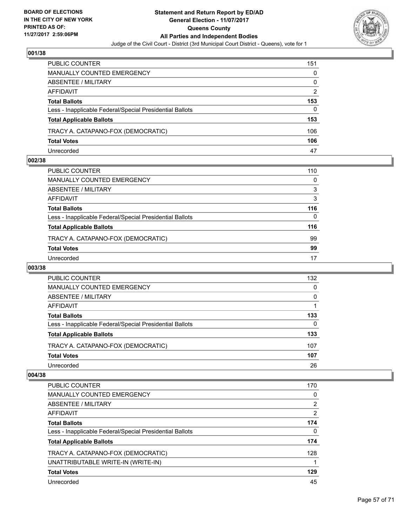

| PUBLIC COUNTER                                           | 151 |
|----------------------------------------------------------|-----|
| MANUALLY COUNTED EMERGENCY                               | 0   |
| ABSENTEE / MILITARY                                      | 0   |
| AFFIDAVIT                                                | 2   |
| <b>Total Ballots</b>                                     | 153 |
| Less - Inapplicable Federal/Special Presidential Ballots | 0   |
| <b>Total Applicable Ballots</b>                          | 153 |
| TRACY A. CATAPANO-FOX (DEMOCRATIC)                       | 106 |
| <b>Total Votes</b>                                       | 106 |
| Unrecorded                                               | 47  |

## **002/38**

| PUBLIC COUNTER                                           | 110 |
|----------------------------------------------------------|-----|
| MANUALLY COUNTED EMERGENCY                               | 0   |
| ABSENTEE / MILITARY                                      | 3   |
| AFFIDAVIT                                                | 3   |
| Total Ballots                                            | 116 |
| Less - Inapplicable Federal/Special Presidential Ballots | 0   |
| <b>Total Applicable Ballots</b>                          | 116 |
| TRACY A. CATAPANO-FOX (DEMOCRATIC)                       | 99  |
| <b>Total Votes</b>                                       | 99  |
| Unrecorded                                               | 17  |
|                                                          |     |

# **003/38**

| PUBLIC COUNTER                                           | 132 |
|----------------------------------------------------------|-----|
| <b>MANUALLY COUNTED EMERGENCY</b>                        | 0   |
| ABSENTEE / MILITARY                                      | 0   |
| AFFIDAVIT                                                |     |
| <b>Total Ballots</b>                                     | 133 |
| Less - Inapplicable Federal/Special Presidential Ballots | 0   |
| <b>Total Applicable Ballots</b>                          | 133 |
| TRACY A. CATAPANO-FOX (DEMOCRATIC)                       | 107 |
| <b>Total Votes</b>                                       | 107 |
| Unrecorded                                               | 26  |

| PUBLIC COUNTER                                           | 170            |
|----------------------------------------------------------|----------------|
| <b>MANUALLY COUNTED EMERGENCY</b>                        | 0              |
| <b>ABSENTEE / MILITARY</b>                               | $\overline{2}$ |
| AFFIDAVIT                                                | 2              |
| <b>Total Ballots</b>                                     | 174            |
| Less - Inapplicable Federal/Special Presidential Ballots | 0              |
| <b>Total Applicable Ballots</b>                          | 174            |
| TRACY A. CATAPANO-FOX (DEMOCRATIC)                       | 128            |
| UNATTRIBUTABLE WRITE-IN (WRITE-IN)                       |                |
| <b>Total Votes</b>                                       | 129            |
| Unrecorded                                               | 45             |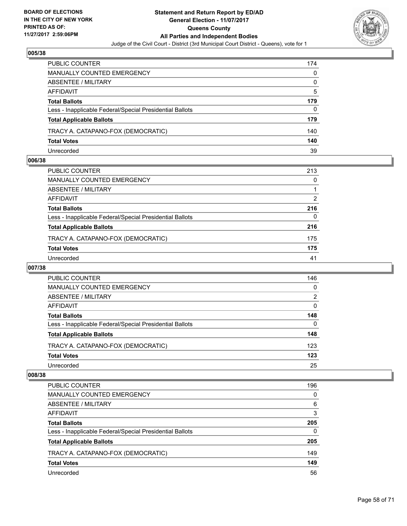

| PUBLIC COUNTER                                           | 174 |
|----------------------------------------------------------|-----|
| <b>MANUALLY COUNTED EMERGENCY</b>                        | 0   |
| ABSENTEE / MILITARY                                      | 0   |
| AFFIDAVIT                                                | 5   |
| <b>Total Ballots</b>                                     | 179 |
| Less - Inapplicable Federal/Special Presidential Ballots | 0   |
| <b>Total Applicable Ballots</b>                          | 179 |
| TRACY A. CATAPANO-FOX (DEMOCRATIC)                       | 140 |
| <b>Total Votes</b>                                       | 140 |
| Unrecorded                                               | 39  |

## **006/38**

| PUBLIC COUNTER                                           | 213 |
|----------------------------------------------------------|-----|
| <b>MANUALLY COUNTED EMERGENCY</b>                        | 0   |
| ABSENTEE / MILITARY                                      |     |
| AFFIDAVIT                                                | 2   |
| <b>Total Ballots</b>                                     | 216 |
| Less - Inapplicable Federal/Special Presidential Ballots | 0   |
| <b>Total Applicable Ballots</b>                          | 216 |
| TRACY A. CATAPANO-FOX (DEMOCRATIC)                       | 175 |
| <b>Total Votes</b>                                       | 175 |
| Unrecorded                                               | 41  |
|                                                          |     |

# **007/38**

| <b>PUBLIC COUNTER</b>                                    | 146 |
|----------------------------------------------------------|-----|
| MANUALLY COUNTED EMERGENCY                               | 0   |
| ABSENTEE / MILITARY                                      | 2   |
| AFFIDAVIT                                                | 0   |
| <b>Total Ballots</b>                                     | 148 |
| Less - Inapplicable Federal/Special Presidential Ballots | 0   |
| <b>Total Applicable Ballots</b>                          | 148 |
| TRACY A. CATAPANO-FOX (DEMOCRATIC)                       | 123 |
| <b>Total Votes</b>                                       | 123 |
| Unrecorded                                               | 25  |

| PUBLIC COUNTER                                           | 196 |
|----------------------------------------------------------|-----|
| <b>MANUALLY COUNTED EMERGENCY</b>                        | 0   |
| ABSENTEE / MILITARY                                      | 6   |
| AFFIDAVIT                                                | 3   |
| <b>Total Ballots</b>                                     | 205 |
| Less - Inapplicable Federal/Special Presidential Ballots | 0   |
| <b>Total Applicable Ballots</b>                          | 205 |
| TRACY A. CATAPANO-FOX (DEMOCRATIC)                       | 149 |
| <b>Total Votes</b>                                       | 149 |
| Unrecorded                                               | 56  |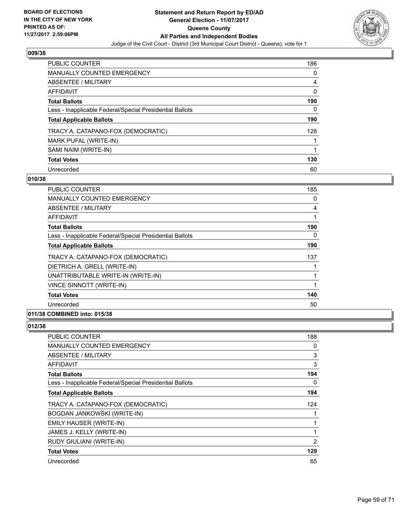

| PUBLIC COUNTER                                           | 186 |
|----------------------------------------------------------|-----|
| <b>MANUALLY COUNTED EMERGENCY</b>                        | 0   |
| ABSENTEE / MILITARY                                      | 4   |
| AFFIDAVIT                                                | 0   |
| <b>Total Ballots</b>                                     | 190 |
| Less - Inapplicable Federal/Special Presidential Ballots | 0   |
| <b>Total Applicable Ballots</b>                          | 190 |
| TRACY A. CATAPANO-FOX (DEMOCRATIC)                       | 128 |
| MARK PUFAL (WRITE-IN)                                    |     |
| SAMI NAIM (WRITE-IN)                                     |     |
| <b>Total Votes</b>                                       | 130 |
| Unrecorded                                               | 60  |

## **010/38**

| <b>PUBLIC COUNTER</b>                                    | 185 |
|----------------------------------------------------------|-----|
| <b>MANUALLY COUNTED EMERGENCY</b>                        | 0   |
| ABSENTEE / MILITARY                                      | 4   |
| AFFIDAVIT                                                |     |
| <b>Total Ballots</b>                                     | 190 |
| Less - Inapplicable Federal/Special Presidential Ballots | 0   |
| <b>Total Applicable Ballots</b>                          | 190 |
| TRACY A. CATAPANO-FOX (DEMOCRATIC)                       | 137 |
| DIETRICH A. GRELL (WRITE-IN)                             |     |
| UNATTRIBUTABLE WRITE-IN (WRITE-IN)                       |     |
| <b>VINCE SINNOTT (WRITE-IN)</b>                          | 1   |
| <b>Total Votes</b>                                       | 140 |
| Unrecorded                                               | 50  |

# **011/38 COMBINED into: 015/38**

| PUBLIC COUNTER                                           | 188 |
|----------------------------------------------------------|-----|
| <b>MANUALLY COUNTED EMERGENCY</b>                        | 0   |
| ABSENTEE / MILITARY                                      | 3   |
| AFFIDAVIT                                                | 3   |
| <b>Total Ballots</b>                                     | 194 |
| Less - Inapplicable Federal/Special Presidential Ballots | 0   |
| <b>Total Applicable Ballots</b>                          | 194 |
| TRACY A. CATAPANO-FOX (DEMOCRATIC)                       | 124 |
| BOGDAN JANKOWSKI (WRITE-IN)                              |     |
| EMILY HAUSER (WRITE-IN)                                  |     |
| JAMES J. KELLY (WRITE-IN)                                | 1   |
| RUDY GIULIANI (WRITE-IN)                                 | 2   |
| <b>Total Votes</b>                                       | 129 |
| Unrecorded                                               | 65  |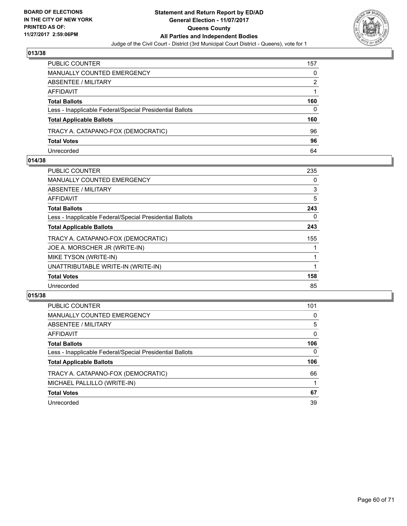

| PUBLIC COUNTER                                           | 157 |
|----------------------------------------------------------|-----|
| MANUALLY COUNTED EMERGENCY                               | 0   |
| ABSENTEE / MILITARY                                      | 2   |
| AFFIDAVIT                                                |     |
| <b>Total Ballots</b>                                     | 160 |
| Less - Inapplicable Federal/Special Presidential Ballots | 0   |
| <b>Total Applicable Ballots</b>                          | 160 |
| TRACY A. CATAPANO-FOX (DEMOCRATIC)                       | 96  |
| <b>Total Votes</b>                                       | 96  |
| Unrecorded                                               | 64  |

## **014/38**

| <b>PUBLIC COUNTER</b>                                    | 235 |
|----------------------------------------------------------|-----|
| <b>MANUALLY COUNTED EMERGENCY</b>                        | 0   |
| ABSENTEE / MILITARY                                      | 3   |
| AFFIDAVIT                                                | 5   |
| <b>Total Ballots</b>                                     | 243 |
| Less - Inapplicable Federal/Special Presidential Ballots | 0   |
| <b>Total Applicable Ballots</b>                          | 243 |
| TRACY A. CATAPANO-FOX (DEMOCRATIC)                       | 155 |
| JOE A. MORSCHER JR (WRITE-IN)                            |     |
| MIKE TYSON (WRITE-IN)                                    |     |
| UNATTRIBUTABLE WRITE-IN (WRITE-IN)                       |     |
| <b>Total Votes</b>                                       | 158 |
| Unrecorded                                               | 85  |
|                                                          |     |

| <b>PUBLIC COUNTER</b>                                    | 101 |
|----------------------------------------------------------|-----|
| <b>MANUALLY COUNTED EMERGENCY</b>                        | 0   |
| ABSENTEE / MILITARY                                      | 5   |
| AFFIDAVIT                                                | 0   |
| <b>Total Ballots</b>                                     | 106 |
| Less - Inapplicable Federal/Special Presidential Ballots | 0   |
| <b>Total Applicable Ballots</b>                          | 106 |
| TRACY A. CATAPANO-FOX (DEMOCRATIC)                       | 66  |
| MICHAEL PALLILLO (WRITE-IN)                              |     |
| <b>Total Votes</b>                                       | 67  |
| Unrecorded                                               | 39  |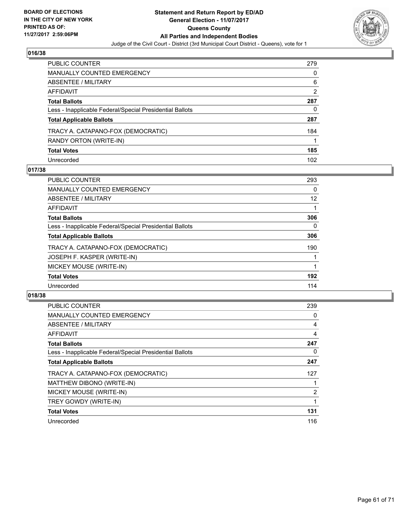

| <b>PUBLIC COUNTER</b>                                    | 279            |
|----------------------------------------------------------|----------------|
| <b>MANUALLY COUNTED EMERGENCY</b>                        | 0              |
| <b>ABSENTEE / MILITARY</b>                               | 6              |
| <b>AFFIDAVIT</b>                                         | $\overline{2}$ |
| <b>Total Ballots</b>                                     | 287            |
| Less - Inapplicable Federal/Special Presidential Ballots | 0              |
| <b>Total Applicable Ballots</b>                          | 287            |
| TRACY A. CATAPANO-FOX (DEMOCRATIC)                       | 184            |
| RANDY ORTON (WRITE-IN)                                   |                |
| <b>Total Votes</b>                                       | 185            |
| Unrecorded                                               | 102            |

## **017/38**

| <b>PUBLIC COUNTER</b>                                    | 293 |
|----------------------------------------------------------|-----|
| <b>MANUALLY COUNTED EMERGENCY</b>                        | 0   |
| ABSENTEE / MILITARY                                      | 12  |
| <b>AFFIDAVIT</b>                                         |     |
| <b>Total Ballots</b>                                     | 306 |
| Less - Inapplicable Federal/Special Presidential Ballots | 0   |
| <b>Total Applicable Ballots</b>                          | 306 |
| TRACY A. CATAPANO-FOX (DEMOCRATIC)                       | 190 |
| JOSEPH F. KASPER (WRITE-IN)                              |     |
| MICKEY MOUSE (WRITE-IN)                                  |     |
| <b>Total Votes</b>                                       | 192 |
| Unrecorded                                               | 114 |

| <b>PUBLIC COUNTER</b>                                    | 239            |
|----------------------------------------------------------|----------------|
| <b>MANUALLY COUNTED EMERGENCY</b>                        | 0              |
| ABSENTEE / MILITARY                                      | 4              |
| AFFIDAVIT                                                | 4              |
| <b>Total Ballots</b>                                     | 247            |
| Less - Inapplicable Federal/Special Presidential Ballots | 0              |
| <b>Total Applicable Ballots</b>                          | 247            |
| TRACY A. CATAPANO-FOX (DEMOCRATIC)                       | 127            |
| MATTHEW DIBONO (WRITE-IN)                                |                |
| MICKEY MOUSE (WRITE-IN)                                  | $\overline{2}$ |
| TREY GOWDY (WRITE-IN)                                    |                |
| <b>Total Votes</b>                                       | 131            |
| Unrecorded                                               | 116            |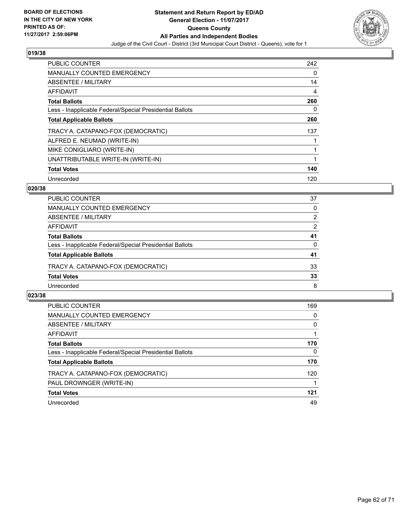

| <b>PUBLIC COUNTER</b>                                    | 242 |
|----------------------------------------------------------|-----|
| <b>MANUALLY COUNTED EMERGENCY</b>                        | 0   |
| ABSENTEE / MILITARY                                      | 14  |
| <b>AFFIDAVIT</b>                                         | 4   |
| <b>Total Ballots</b>                                     | 260 |
| Less - Inapplicable Federal/Special Presidential Ballots | 0   |
| <b>Total Applicable Ballots</b>                          | 260 |
| TRACY A. CATAPANO-FOX (DEMOCRATIC)                       | 137 |
| ALFRED E. NEUMAD (WRITE-IN)                              |     |
| MIKE CONIGLIARO (WRITE-IN)                               |     |
| UNATTRIBUTABLE WRITE-IN (WRITE-IN)                       | 1   |
| <b>Total Votes</b>                                       | 140 |
| Unrecorded                                               | 120 |

# **020/38**

| <b>PUBLIC COUNTER</b>                                    | 37 |
|----------------------------------------------------------|----|
| MANUALLY COUNTED EMERGENCY                               | 0  |
| ABSENTEE / MILITARY                                      | 2  |
| AFFIDAVIT                                                | 2  |
| <b>Total Ballots</b>                                     | 41 |
| Less - Inapplicable Federal/Special Presidential Ballots | 0  |
| <b>Total Applicable Ballots</b>                          | 41 |
| TRACY A. CATAPANO-FOX (DEMOCRATIC)                       | 33 |
| <b>Total Votes</b>                                       | 33 |
| Unrecorded                                               | 8  |

| <b>PUBLIC COUNTER</b>                                    | 169      |
|----------------------------------------------------------|----------|
| <b>MANUALLY COUNTED EMERGENCY</b>                        | 0        |
| ABSENTEE / MILITARY                                      | 0        |
| AFFIDAVIT                                                |          |
| <b>Total Ballots</b>                                     | 170      |
| Less - Inapplicable Federal/Special Presidential Ballots | $\Omega$ |
| <b>Total Applicable Ballots</b>                          | 170      |
| TRACY A. CATAPANO-FOX (DEMOCRATIC)                       | 120      |
| PAUL DROWNGER (WRITE-IN)                                 |          |
| <b>Total Votes</b>                                       | 121      |
| Unrecorded                                               | 49       |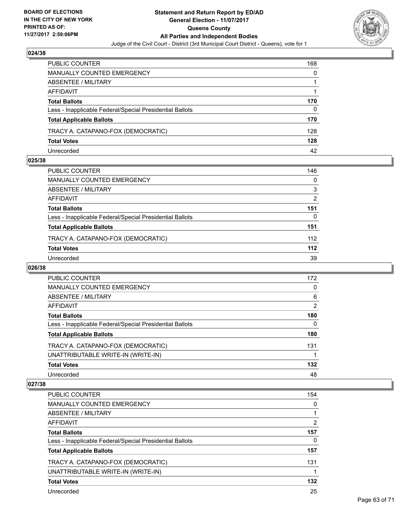

| PUBLIC COUNTER                                           | 168 |
|----------------------------------------------------------|-----|
| <b>MANUALLY COUNTED EMERGENCY</b>                        | 0   |
| ABSENTEE / MILITARY                                      |     |
| AFFIDAVIT                                                |     |
| <b>Total Ballots</b>                                     | 170 |
| Less - Inapplicable Federal/Special Presidential Ballots | 0   |
| <b>Total Applicable Ballots</b>                          | 170 |
| TRACY A. CATAPANO-FOX (DEMOCRATIC)                       | 128 |
| <b>Total Votes</b>                                       | 128 |
| Unrecorded                                               | 42  |

## **025/38**

| PUBLIC COUNTER                                           | 146   |
|----------------------------------------------------------|-------|
| <b>MANUALLY COUNTED EMERGENCY</b>                        | 0     |
| <b>ABSENTEE / MILITARY</b>                               | 3     |
|                                                          | 2     |
|                                                          | 151   |
| Less - Inapplicable Federal/Special Presidential Ballots | 0     |
| <b>Total Applicable Ballots</b>                          | 151   |
| TRACY A. CATAPANO-FOX (DEMOCRATIC)                       | 112   |
|                                                          | $112$ |
|                                                          | 39    |
|                                                          |       |

## **026/38**

| <b>PUBLIC COUNTER</b>                                    | 172      |
|----------------------------------------------------------|----------|
| <b>MANUALLY COUNTED EMERGENCY</b>                        | 0        |
| ABSENTEE / MILITARY                                      | 6        |
| AFFIDAVIT                                                | 2        |
| <b>Total Ballots</b>                                     | 180      |
| Less - Inapplicable Federal/Special Presidential Ballots | $\Omega$ |
| <b>Total Applicable Ballots</b>                          | 180      |
| TRACY A. CATAPANO-FOX (DEMOCRATIC)                       | 131      |
| UNATTRIBUTABLE WRITE-IN (WRITE-IN)                       |          |
| <b>Total Votes</b>                                       | 132      |
| Unrecorded                                               | 48       |

| <b>PUBLIC COUNTER</b>                                    | 154 |
|----------------------------------------------------------|-----|
| <b>MANUALLY COUNTED EMERGENCY</b>                        | 0   |
| ABSENTEE / MILITARY                                      |     |
| <b>AFFIDAVIT</b>                                         | 2   |
| <b>Total Ballots</b>                                     | 157 |
| Less - Inapplicable Federal/Special Presidential Ballots | 0   |
| <b>Total Applicable Ballots</b>                          | 157 |
| TRACY A. CATAPANO-FOX (DEMOCRATIC)                       | 131 |
| UNATTRIBUTABLE WRITE-IN (WRITE-IN)                       |     |
| <b>Total Votes</b>                                       | 132 |
| Unrecorded                                               | 25  |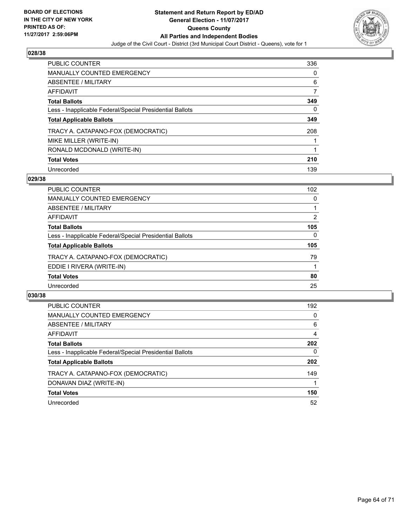

| <b>PUBLIC COUNTER</b>                                    | 336 |
|----------------------------------------------------------|-----|
| MANUALLY COUNTED EMERGENCY                               | 0   |
| ABSENTEE / MILITARY                                      | 6   |
| AFFIDAVIT                                                | 7   |
| <b>Total Ballots</b>                                     | 349 |
| Less - Inapplicable Federal/Special Presidential Ballots | 0   |
| <b>Total Applicable Ballots</b>                          | 349 |
| TRACY A. CATAPANO-FOX (DEMOCRATIC)                       | 208 |
| MIKE MILLER (WRITE-IN)                                   |     |
| RONALD MCDONALD (WRITE-IN)                               |     |
| <b>Total Votes</b>                                       | 210 |
|                                                          |     |

## **029/38**

| <b>PUBLIC COUNTER</b>                                    | 102 |
|----------------------------------------------------------|-----|
| MANUALLY COUNTED EMERGENCY                               | 0   |
| ABSENTEE / MILITARY                                      |     |
| AFFIDAVIT                                                | 2   |
| <b>Total Ballots</b>                                     | 105 |
| Less - Inapplicable Federal/Special Presidential Ballots | 0   |
| <b>Total Applicable Ballots</b>                          | 105 |
| TRACY A. CATAPANO-FOX (DEMOCRATIC)                       | 79  |
| EDDIE I RIVERA (WRITE-IN)                                |     |
| <b>Total Votes</b>                                       | 80  |
| Unrecorded                                               | 25  |

| <b>PUBLIC COUNTER</b>                                    | 192 |
|----------------------------------------------------------|-----|
| MANUALLY COUNTED EMERGENCY                               | 0   |
| ABSENTEE / MILITARY                                      | 6   |
| AFFIDAVIT                                                | 4   |
| <b>Total Ballots</b>                                     | 202 |
| Less - Inapplicable Federal/Special Presidential Ballots | 0   |
| <b>Total Applicable Ballots</b>                          | 202 |
| TRACY A. CATAPANO-FOX (DEMOCRATIC)                       | 149 |
| DONAVAN DIAZ (WRITE-IN)                                  |     |
| <b>Total Votes</b>                                       | 150 |
| Unrecorded                                               | 52  |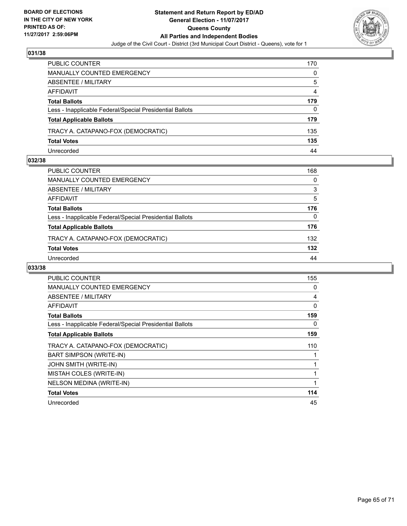

| PUBLIC COUNTER                                           | 170 |
|----------------------------------------------------------|-----|
| <b>MANUALLY COUNTED EMERGENCY</b>                        | 0   |
| ABSENTEE / MILITARY                                      | 5   |
| AFFIDAVIT                                                | 4   |
| <b>Total Ballots</b>                                     | 179 |
| Less - Inapplicable Federal/Special Presidential Ballots | 0   |
| <b>Total Applicable Ballots</b>                          | 179 |
| TRACY A. CATAPANO-FOX (DEMOCRATIC)                       | 135 |
| <b>Total Votes</b>                                       | 135 |
| Unrecorded                                               | 44  |

## **032/38**

| PUBLIC COUNTER                                           | 168 |
|----------------------------------------------------------|-----|
| <b>MANUALLY COUNTED EMERGENCY</b>                        | 0   |
| ABSENTEE / MILITARY                                      | 3   |
| AFFIDAVIT                                                | 5   |
| <b>Total Ballots</b>                                     | 176 |
| Less - Inapplicable Federal/Special Presidential Ballots | 0   |
| <b>Total Applicable Ballots</b>                          | 176 |
| TRACY A. CATAPANO-FOX (DEMOCRATIC)                       | 132 |
| <b>Total Votes</b>                                       | 132 |
| Unrecorded                                               | 44  |
|                                                          |     |

| <b>PUBLIC COUNTER</b>                                    | 155         |
|----------------------------------------------------------|-------------|
| <b>MANUALLY COUNTED EMERGENCY</b>                        | 0           |
| <b>ABSENTEE / MILITARY</b>                               | 4           |
| AFFIDAVIT                                                | 0           |
| <b>Total Ballots</b>                                     | 159         |
| Less - Inapplicable Federal/Special Presidential Ballots | 0           |
| <b>Total Applicable Ballots</b>                          | 159         |
| TRACY A. CATAPANO-FOX (DEMOCRATIC)                       | 110         |
| <b>BART SIMPSON (WRITE-IN)</b>                           |             |
| <b>JOHN SMITH (WRITE-IN)</b>                             |             |
| MISTAH COLES (WRITE-IN)                                  | 1           |
| NELSON MEDINA (WRITE-IN)                                 | $\mathbf 1$ |
| <b>Total Votes</b>                                       | 114         |
| Unrecorded                                               | 45          |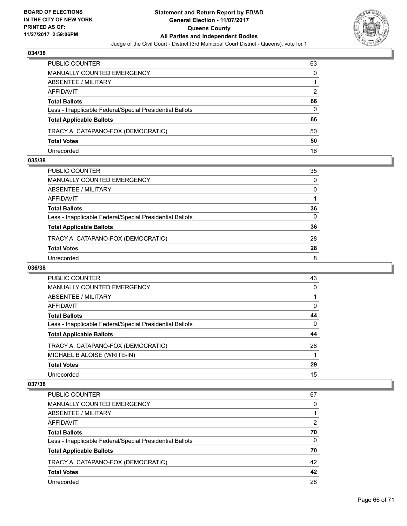

| PUBLIC COUNTER                                           | 63 |
|----------------------------------------------------------|----|
| MANUALLY COUNTED EMERGENCY                               | 0  |
| ABSENTEE / MILITARY                                      |    |
| AFFIDAVIT                                                | 2  |
| <b>Total Ballots</b>                                     | 66 |
| Less - Inapplicable Federal/Special Presidential Ballots | 0  |
| <b>Total Applicable Ballots</b>                          | 66 |
| TRACY A. CATAPANO-FOX (DEMOCRATIC)                       | 50 |
| <b>Total Votes</b>                                       | 50 |
| Unrecorded                                               | 16 |

## **035/38**

| PUBLIC COUNTER                                           | 35 |
|----------------------------------------------------------|----|
| MANUALLY COUNTED EMERGENCY                               | 0  |
| ABSENTEE / MILITARY                                      | 0  |
| AFFIDAVIT                                                |    |
| Total Ballots                                            | 36 |
| Less - Inapplicable Federal/Special Presidential Ballots | 0  |
| <b>Total Applicable Ballots</b>                          | 36 |
| TRACY A. CATAPANO-FOX (DEMOCRATIC)                       | 28 |
| <b>Total Votes</b>                                       | 28 |
| Unrecorded                                               | 8  |
|                                                          |    |

# **036/38**

| PUBLIC COUNTER                                           | 43 |
|----------------------------------------------------------|----|
| <b>MANUALLY COUNTED EMERGENCY</b>                        | 0  |
| ABSENTEE / MILITARY                                      |    |
| AFFIDAVIT                                                | 0  |
| <b>Total Ballots</b>                                     | 44 |
| Less - Inapplicable Federal/Special Presidential Ballots | 0  |
| <b>Total Applicable Ballots</b>                          | 44 |
| TRACY A. CATAPANO-FOX (DEMOCRATIC)                       | 28 |
| MICHAEL B ALOISE (WRITE-IN)                              |    |
| <b>Total Votes</b>                                       | 29 |
| Unrecorded                                               | 15 |

| PUBLIC COUNTER                                           | 67 |
|----------------------------------------------------------|----|
| MANUALLY COUNTED EMERGENCY                               | 0  |
| ABSENTEE / MILITARY                                      |    |
| AFFIDAVIT                                                | 2  |
| <b>Total Ballots</b>                                     | 70 |
| Less - Inapplicable Federal/Special Presidential Ballots | 0  |
| <b>Total Applicable Ballots</b>                          | 70 |
| TRACY A. CATAPANO-FOX (DEMOCRATIC)                       | 42 |
| <b>Total Votes</b>                                       | 42 |
| Unrecorded                                               | 28 |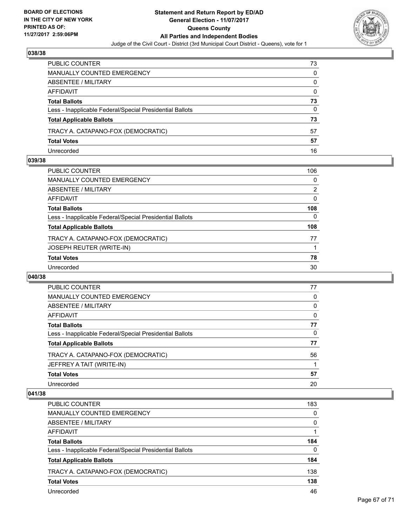

| PUBLIC COUNTER                                           | 73       |
|----------------------------------------------------------|----------|
| MANUALLY COUNTED EMERGENCY                               | 0        |
| ABSENTEE / MILITARY                                      | 0        |
| AFFIDAVIT                                                | $\Omega$ |
| <b>Total Ballots</b>                                     | 73       |
| Less - Inapplicable Federal/Special Presidential Ballots | 0        |
| <b>Total Applicable Ballots</b>                          | 73       |
| TRACY A. CATAPANO-FOX (DEMOCRATIC)                       | 57       |
| <b>Total Votes</b>                                       | 57       |
| Unrecorded                                               | 16       |

## **039/38**

| <b>PUBLIC COUNTER</b>                                    | 106 |
|----------------------------------------------------------|-----|
| <b>MANUALLY COUNTED EMERGENCY</b>                        | 0   |
| <b>ABSENTEE / MILITARY</b>                               | 2   |
| <b>AFFIDAVIT</b>                                         | 0   |
| <b>Total Ballots</b>                                     | 108 |
| Less - Inapplicable Federal/Special Presidential Ballots | 0   |
| <b>Total Applicable Ballots</b>                          | 108 |
| TRACY A. CATAPANO-FOX (DEMOCRATIC)                       | 77  |
| <b>JOSEPH REUTER (WRITE-IN)</b>                          |     |
| <b>Total Votes</b>                                       | 78  |
| Unrecorded                                               | 30  |

## **040/38**

| <b>PUBLIC COUNTER</b>                                    | 77 |
|----------------------------------------------------------|----|
| <b>MANUALLY COUNTED EMERGENCY</b>                        | 0  |
| ABSENTEE / MILITARY                                      | 0  |
| <b>AFFIDAVIT</b>                                         | 0  |
| <b>Total Ballots</b>                                     | 77 |
| Less - Inapplicable Federal/Special Presidential Ballots | 0  |
| <b>Total Applicable Ballots</b>                          | 77 |
| TRACY A. CATAPANO-FOX (DEMOCRATIC)                       | 56 |
| JEFFREY A TAIT (WRITE-IN)                                |    |
| <b>Total Votes</b>                                       | 57 |
| Unrecorded                                               | 20 |

| <b>PUBLIC COUNTER</b>                                    | 183 |
|----------------------------------------------------------|-----|
| MANUALLY COUNTED EMERGENCY                               | 0   |
| ABSENTEE / MILITARY                                      | 0   |
| AFFIDAVIT                                                |     |
| <b>Total Ballots</b>                                     | 184 |
| Less - Inapplicable Federal/Special Presidential Ballots | 0   |
| <b>Total Applicable Ballots</b>                          | 184 |
| TRACY A. CATAPANO-FOX (DEMOCRATIC)                       | 138 |
| <b>Total Votes</b>                                       | 138 |
| Unrecorded                                               | 46  |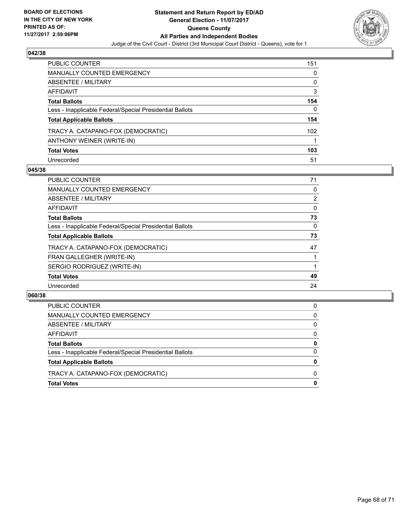

| <b>PUBLIC COUNTER</b>                                    | 151 |
|----------------------------------------------------------|-----|
| <b>MANUALLY COUNTED EMERGENCY</b>                        | 0   |
| <b>ABSENTEE / MILITARY</b>                               | 0   |
| AFFIDAVIT                                                | 3   |
| <b>Total Ballots</b>                                     | 154 |
| Less - Inapplicable Federal/Special Presidential Ballots | 0   |
| <b>Total Applicable Ballots</b>                          | 154 |
| TRACY A. CATAPANO-FOX (DEMOCRATIC)                       | 102 |
| ANTHONY WEINER (WRITE-IN)                                |     |
| <b>Total Votes</b>                                       | 103 |
| Unrecorded                                               | 51  |

## **045/38**

| <b>PUBLIC COUNTER</b>                                    | 71             |
|----------------------------------------------------------|----------------|
| <b>MANUALLY COUNTED EMERGENCY</b>                        | 0              |
| ABSENTEE / MILITARY                                      | $\overline{2}$ |
| AFFIDAVIT                                                | 0              |
| <b>Total Ballots</b>                                     | 73             |
| Less - Inapplicable Federal/Special Presidential Ballots | 0              |
| <b>Total Applicable Ballots</b>                          | 73             |
| TRACY A. CATAPANO-FOX (DEMOCRATIC)                       | 47             |
| FRAN GALLEGHER (WRITE-IN)                                |                |
| SERGIO RODRIGUEZ (WRITE-IN)                              |                |
| <b>Total Votes</b>                                       | 49             |
| Unrecorded                                               | 24             |

| <b>Total Votes</b>                                       | 0        |
|----------------------------------------------------------|----------|
| TRACY A. CATAPANO-FOX (DEMOCRATIC)                       | 0        |
| <b>Total Applicable Ballots</b>                          | 0        |
| Less - Inapplicable Federal/Special Presidential Ballots | $\Omega$ |
| <b>Total Ballots</b>                                     | 0        |
| AFFIDAVIT                                                | 0        |
| <b>ABSENTEE / MILITARY</b>                               | 0        |
| MANUALLY COUNTED EMERGENCY                               | 0        |
| PUBLIC COUNTER                                           | 0        |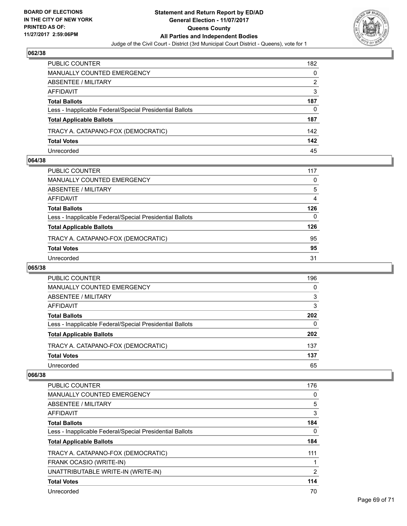

| <b>PUBLIC COUNTER</b>                                    | 182 |
|----------------------------------------------------------|-----|
| <b>MANUALLY COUNTED EMERGENCY</b>                        | 0   |
| ABSENTEE / MILITARY                                      | 2   |
| AFFIDAVIT                                                | 3   |
| <b>Total Ballots</b>                                     | 187 |
| Less - Inapplicable Federal/Special Presidential Ballots | 0   |
| <b>Total Applicable Ballots</b>                          | 187 |
| TRACY A. CATAPANO-FOX (DEMOCRATIC)                       | 142 |
| <b>Total Votes</b>                                       | 142 |
| Unrecorded                                               | 45  |

## **064/38**

| PUBLIC COUNTER                                           | 117 |
|----------------------------------------------------------|-----|
| MANUALLY COUNTED EMERGENCY                               | 0   |
| ABSENTEE / MILITARY                                      | 5   |
| AFFIDAVIT                                                | 4   |
| <b>Total Ballots</b>                                     | 126 |
| Less - Inapplicable Federal/Special Presidential Ballots | 0   |
| <b>Total Applicable Ballots</b>                          | 126 |
| TRACY A. CATAPANO-FOX (DEMOCRATIC)                       | 95  |
| <b>Total Votes</b>                                       | 95  |
| Unrecorded                                               | 31  |
|                                                          |     |

## **065/38**

| PUBLIC COUNTER                                           | 196 |
|----------------------------------------------------------|-----|
| MANUALLY COUNTED EMERGENCY                               | 0   |
| ABSENTEE / MILITARY                                      | 3   |
| AFFIDAVIT                                                | 3   |
| <b>Total Ballots</b>                                     | 202 |
| Less - Inapplicable Federal/Special Presidential Ballots | 0   |
| <b>Total Applicable Ballots</b>                          | 202 |
| TRACY A. CATAPANO-FOX (DEMOCRATIC)                       | 137 |
| <b>Total Votes</b>                                       | 137 |
| Unrecorded                                               | 65  |

| <b>PUBLIC COUNTER</b>                                    | 176 |
|----------------------------------------------------------|-----|
| <b>MANUALLY COUNTED EMERGENCY</b>                        | 0   |
| ABSENTEE / MILITARY                                      | 5   |
| AFFIDAVIT                                                | 3   |
| <b>Total Ballots</b>                                     | 184 |
| Less - Inapplicable Federal/Special Presidential Ballots | 0   |
| <b>Total Applicable Ballots</b>                          | 184 |
| TRACY A. CATAPANO-FOX (DEMOCRATIC)                       | 111 |
| FRANK OCASIO (WRITE-IN)                                  |     |
| UNATTRIBUTABLE WRITE-IN (WRITE-IN)                       | 2   |
| <b>Total Votes</b>                                       | 114 |
| Unrecorded                                               | 70  |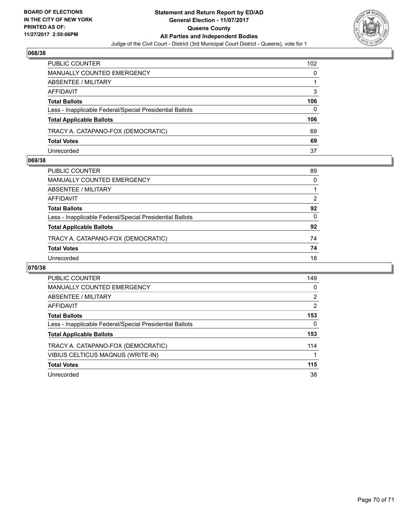

| <b>PUBLIC COUNTER</b>                                    | 102 |
|----------------------------------------------------------|-----|
| <b>MANUALLY COUNTED EMERGENCY</b>                        | 0   |
| ABSENTEE / MILITARY                                      |     |
| AFFIDAVIT                                                | 3   |
| <b>Total Ballots</b>                                     | 106 |
| Less - Inapplicable Federal/Special Presidential Ballots | 0   |
| <b>Total Applicable Ballots</b>                          | 106 |
| TRACY A. CATAPANO-FOX (DEMOCRATIC)                       | 69  |
| <b>Total Votes</b>                                       | 69  |
| Unrecorded                                               | 37  |

## **069/38**

| PUBLIC COUNTER                                           | 89           |
|----------------------------------------------------------|--------------|
| MANUALLY COUNTED EMERGENCY                               | 0            |
| ABSENTEE / MILITARY                                      | 1            |
| AFFIDAVIT                                                | 2            |
| <b>Total Ballots</b>                                     | 92           |
| Less - Inapplicable Federal/Special Presidential Ballots | $\mathbf{0}$ |
| <b>Total Applicable Ballots</b>                          | 92           |
| TRACY A. CATAPANO-FOX (DEMOCRATIC)                       | 74           |
| <b>Total Votes</b>                                       | 74           |
| Unrecorded                                               | 18           |
|                                                          |              |

| <b>PUBLIC COUNTER</b>                                    | 149            |
|----------------------------------------------------------|----------------|
| <b>MANUALLY COUNTED EMERGENCY</b>                        | 0              |
| ABSENTEE / MILITARY                                      | $\overline{2}$ |
| <b>AFFIDAVIT</b>                                         | 2              |
| <b>Total Ballots</b>                                     | 153            |
| Less - Inapplicable Federal/Special Presidential Ballots | 0              |
| <b>Total Applicable Ballots</b>                          | 153            |
| TRACY A. CATAPANO-FOX (DEMOCRATIC)                       | 114            |
| VIBIUS CELTICUS MAGNUS (WRITE-IN)                        |                |
| <b>Total Votes</b>                                       | 115            |
| Unrecorded                                               | 38             |